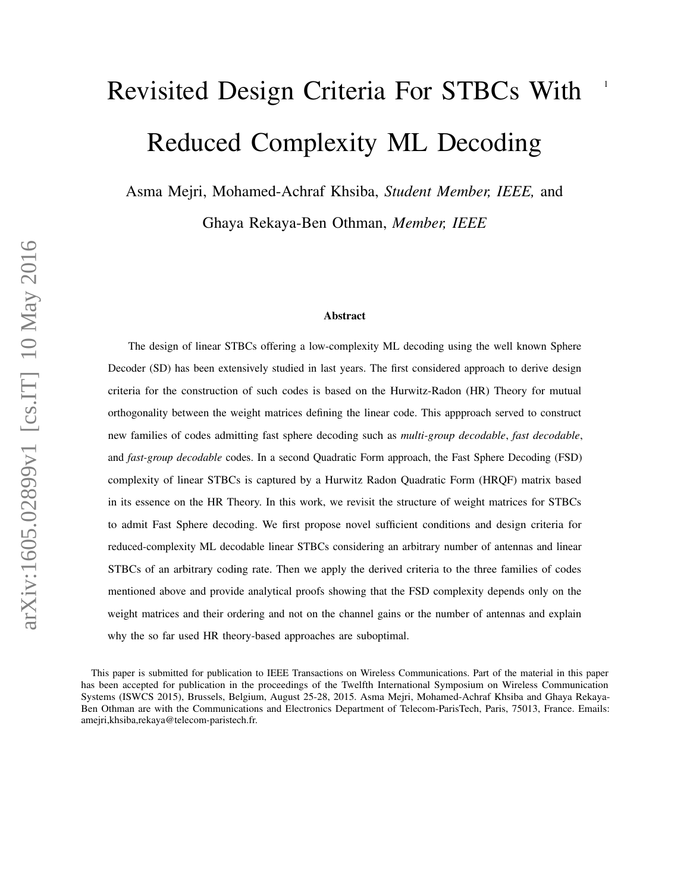# <sup>1</sup> Revisited Design Criteria For STBCs With Reduced Complexity ML Decoding

Asma Mejri, Mohamed-Achraf Khsiba, *Student Member, IEEE,* and Ghaya Rekaya-Ben Othman, *Member, IEEE*

#### Abstract

The design of linear STBCs offering a low-complexity ML decoding using the well known Sphere Decoder (SD) has been extensively studied in last years. The first considered approach to derive design criteria for the construction of such codes is based on the Hurwitz-Radon (HR) Theory for mutual orthogonality between the weight matrices defining the linear code. This appproach served to construct new families of codes admitting fast sphere decoding such as *multi-group decodable*, *fast decodable*, and *fast-group decodable* codes. In a second Quadratic Form approach, the Fast Sphere Decoding (FSD) complexity of linear STBCs is captured by a Hurwitz Radon Quadratic Form (HRQF) matrix based in its essence on the HR Theory. In this work, we revisit the structure of weight matrices for STBCs to admit Fast Sphere decoding. We first propose novel sufficient conditions and design criteria for reduced-complexity ML decodable linear STBCs considering an arbitrary number of antennas and linear STBCs of an arbitrary coding rate. Then we apply the derived criteria to the three families of codes mentioned above and provide analytical proofs showing that the FSD complexity depends only on the weight matrices and their ordering and not on the channel gains or the number of antennas and explain why the so far used HR theory-based approaches are suboptimal.

This paper is submitted for publication to IEEE Transactions on Wireless Communications. Part of the material in this paper has been accepted for publication in the proceedings of the Twelfth International Symposium on Wireless Communication Systems (ISWCS 2015), Brussels, Belgium, August 25-28, 2015. Asma Mejri, Mohamed-Achraf Khsiba and Ghaya Rekaya-Ben Othman are with the Communications and Electronics Department of Telecom-ParisTech, Paris, 75013, France. Emails: amejri,khsiba,rekaya@telecom-paristech.fr.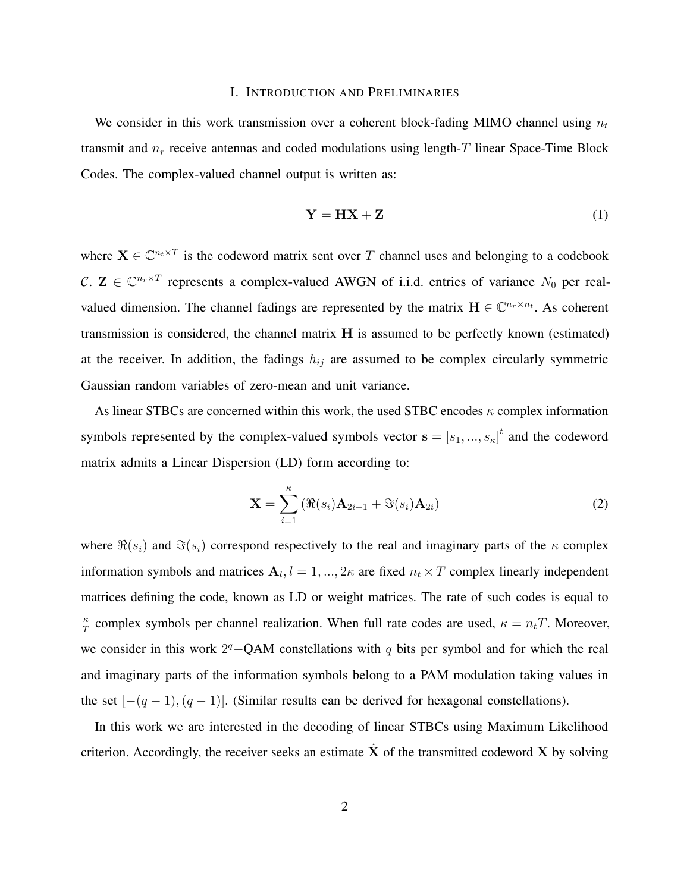## I. INTRODUCTION AND PRELIMINARIES

We consider in this work transmission over a coherent block-fading MIMO channel using  $n_t$ transmit and  $n_r$  receive antennas and coded modulations using length-T linear Space-Time Block Codes. The complex-valued channel output is written as:

$$
Y = HX + Z \tag{1}
$$

where  $X \in \mathbb{C}^{n_t \times T}$  is the codeword matrix sent over T channel uses and belonging to a codebook C.  $\mathbf{Z} \in \mathbb{C}^{n_r \times T}$  represents a complex-valued AWGN of i.i.d. entries of variance  $N_0$  per realvalued dimension. The channel fadings are represented by the matrix  $\mathbf{H} \in \mathbb{C}^{n_r \times n_t}$ . As coherent transmission is considered, the channel matrix H is assumed to be perfectly known (estimated) at the receiver. In addition, the fadings  $h_{ij}$  are assumed to be complex circularly symmetric Gaussian random variables of zero-mean and unit variance.

As linear STBCs are concerned within this work, the used STBC encodes  $\kappa$  complex information symbols represented by the complex-valued symbols vector  $\mathbf{s} = [s_1, ..., s_{\kappa}]^t$  and the codeword matrix admits a Linear Dispersion (LD) form according to:

$$
\mathbf{X} = \sum_{i=1}^{\kappa} \left( \Re(s_i) \mathbf{A}_{2i-1} + \Im(s_i) \mathbf{A}_{2i} \right)
$$
 (2)

where  $\Re(s_i)$  and  $\Im(s_i)$  correspond respectively to the real and imaginary parts of the  $\kappa$  complex information symbols and matrices  $A_l$ ,  $l = 1, ..., 2\kappa$  are fixed  $n_t \times T$  complex linearly independent matrices defining the code, known as LD or weight matrices. The rate of such codes is equal to κ  $\frac{\kappa}{T}$  complex symbols per channel realization. When full rate codes are used,  $\kappa = n_t T$ . Moreover, we consider in this work  $2<sup>q</sup> - QAM$  constellations with q bits per symbol and for which the real and imaginary parts of the information symbols belong to a PAM modulation taking values in the set  $[-(q-1),(q-1)]$ . (Similar results can be derived for hexagonal constellations).

In this work we are interested in the decoding of linear STBCs using Maximum Likelihood criterion. Accordingly, the receiver seeks an estimate  $\hat{\mathbf{X}}$  of the transmitted codeword X by solving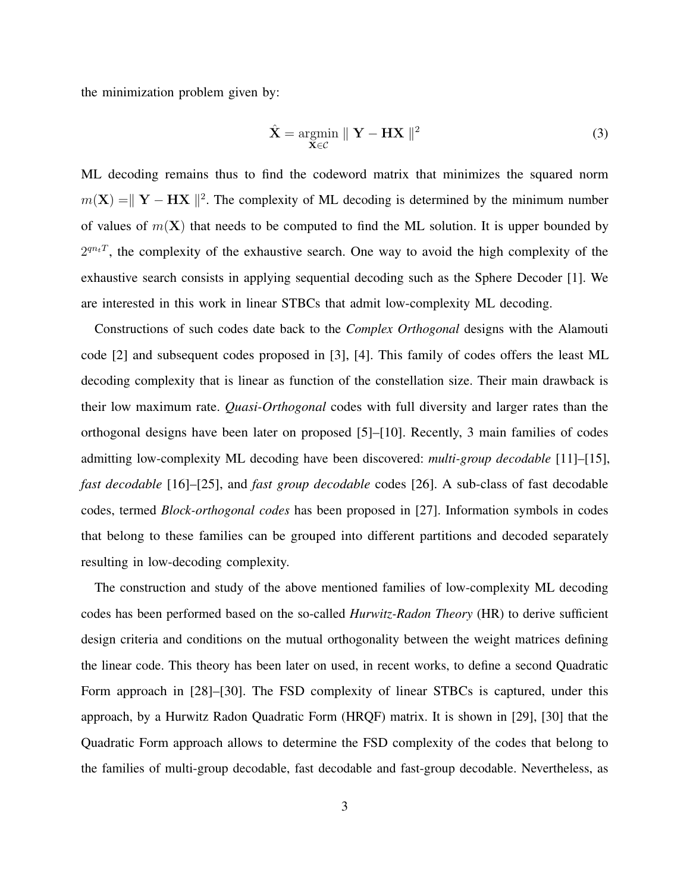the minimization problem given by:

$$
\hat{\mathbf{X}} = \underset{\mathbf{X} \in \mathcal{C}}{\operatorname{argmin}} \parallel \mathbf{Y} - \mathbf{H}\mathbf{X} \parallel^{2} \tag{3}
$$

ML decoding remains thus to find the codeword matrix that minimizes the squared norm  $m(\mathbf{X}) = ||\mathbf{Y} - \mathbf{H}\mathbf{X}||^2$ . The complexity of ML decoding is determined by the minimum number of values of  $m(X)$  that needs to be computed to find the ML solution. It is upper bounded by  $2^{qn_tT}$ , the complexity of the exhaustive search. One way to avoid the high complexity of the exhaustive search consists in applying sequential decoding such as the Sphere Decoder [1]. We are interested in this work in linear STBCs that admit low-complexity ML decoding.

Constructions of such codes date back to the *Complex Orthogonal* designs with the Alamouti code [2] and subsequent codes proposed in [3], [4]. This family of codes offers the least ML decoding complexity that is linear as function of the constellation size. Their main drawback is their low maximum rate. *Quasi-Orthogonal* codes with full diversity and larger rates than the orthogonal designs have been later on proposed [5]–[10]. Recently, 3 main families of codes admitting low-complexity ML decoding have been discovered: *multi-group decodable* [11]–[15], *fast decodable* [16]–[25], and *fast group decodable* codes [26]. A sub-class of fast decodable codes, termed *Block-orthogonal codes* has been proposed in [27]. Information symbols in codes that belong to these families can be grouped into different partitions and decoded separately resulting in low-decoding complexity.

The construction and study of the above mentioned families of low-complexity ML decoding codes has been performed based on the so-called *Hurwitz-Radon Theory* (HR) to derive sufficient design criteria and conditions on the mutual orthogonality between the weight matrices defining the linear code. This theory has been later on used, in recent works, to define a second Quadratic Form approach in [28]–[30]. The FSD complexity of linear STBCs is captured, under this approach, by a Hurwitz Radon Quadratic Form (HRQF) matrix. It is shown in [29], [30] that the Quadratic Form approach allows to determine the FSD complexity of the codes that belong to the families of multi-group decodable, fast decodable and fast-group decodable. Nevertheless, as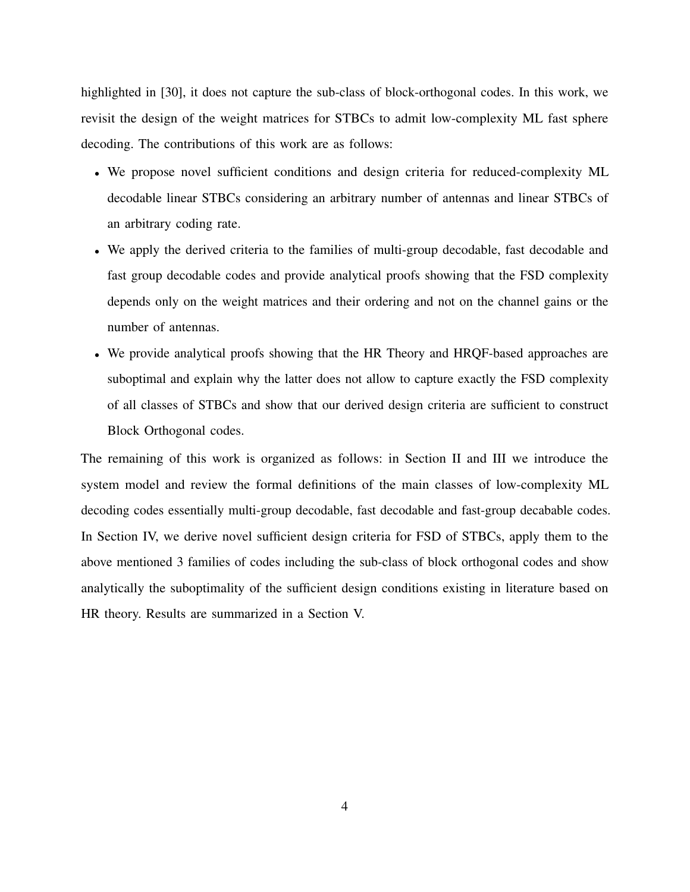highlighted in [30], it does not capture the sub-class of block-orthogonal codes. In this work, we revisit the design of the weight matrices for STBCs to admit low-complexity ML fast sphere decoding. The contributions of this work are as follows:

- We propose novel sufficient conditions and design criteria for reduced-complexity ML decodable linear STBCs considering an arbitrary number of antennas and linear STBCs of an arbitrary coding rate.
- We apply the derived criteria to the families of multi-group decodable, fast decodable and fast group decodable codes and provide analytical proofs showing that the FSD complexity depends only on the weight matrices and their ordering and not on the channel gains or the number of antennas.
- We provide analytical proofs showing that the HR Theory and HRQF-based approaches are suboptimal and explain why the latter does not allow to capture exactly the FSD complexity of all classes of STBCs and show that our derived design criteria are sufficient to construct Block Orthogonal codes.

The remaining of this work is organized as follows: in Section II and III we introduce the system model and review the formal definitions of the main classes of low-complexity ML decoding codes essentially multi-group decodable, fast decodable and fast-group decabable codes. In Section IV, we derive novel sufficient design criteria for FSD of STBCs, apply them to the above mentioned 3 families of codes including the sub-class of block orthogonal codes and show analytically the suboptimality of the sufficient design conditions existing in literature based on HR theory. Results are summarized in a Section V.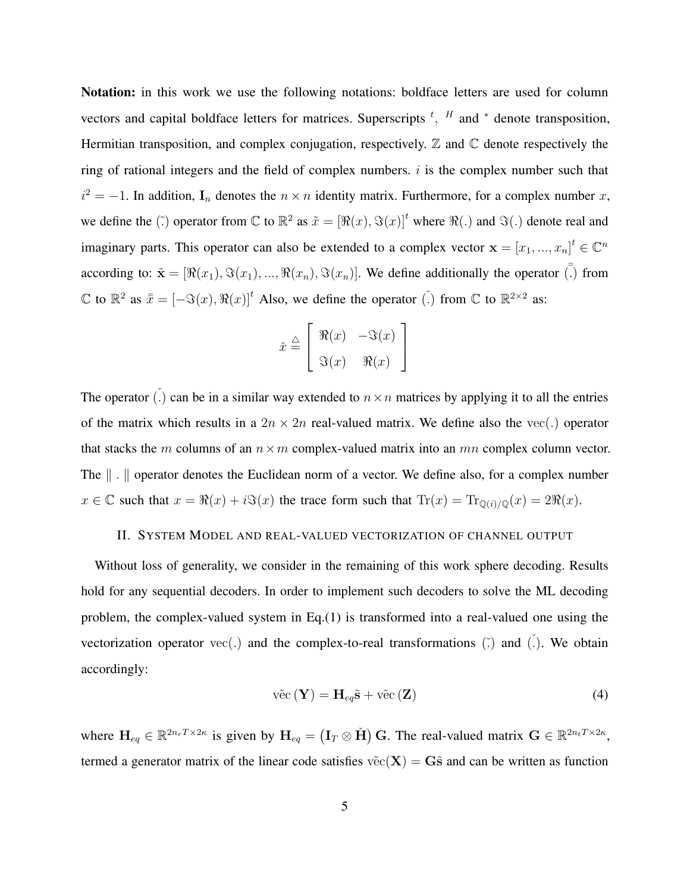Notation: in this work we use the following notations: boldface letters are used for column vectors and capital boldface letters for matrices. Superscripts  $<sup>t</sup>$ ,  $<sup>H</sup>$  and  $*$  denote transposition,</sup></sup> Hermitian transposition, and complex conjugation, respectively.  $\mathbb Z$  and  $\mathbb C$  denote respectively the ring of rational integers and the field of complex numbers.  $i$  is the complex number such that  $i^2 = -1$ . In addition,  $I_n$  denotes the  $n \times n$  identity matrix. Furthermore, for a complex number x, we define the ( $\tilde{f}$ ) operator from  $\mathbb{C}$  to  $\mathbb{R}^2$  as  $\tilde{x} = [\Re(x), \Im(x)]^t$  where  $\Re(\cdot)$  and  $\Im(\cdot)$  denote real and imaginary parts. This operator can also be extended to a complex vector  $\mathbf{x} = [x_1, ..., x_n]^t \in \mathbb{C}^n$ according to:  $\tilde{\mathbf{x}} = [\Re(x_1), \Im(x_1), ..., \Re(x_n), \Im(x_n)]$ . We define additionally the operator  $\overline{\overline{C}}$  from  $\mathbb C$  to  $\mathbb R^2$  as  $\bar{x} = [-\Im(x), \Re(x)]^t$  Also, we define the operator  $\check{(.)}$  from  $\mathbb C$  to  $\mathbb R^{2 \times 2}$  as:

$$
\check{x} \stackrel{\triangle}{=} \left[ \begin{array}{cc} \Re(x) & -\Im(x) \\ \Im(x) & \Re(x) \end{array} \right]
$$

The operator (.) can be in a similar way extended to  $n \times n$  matrices by applying it to all the entries of the matrix which results in a  $2n \times 2n$  real-valued matrix. We define also the vec(.) operator that stacks the m columns of an  $n \times m$  complex-valued matrix into an mn complex column vector. The  $\| \cdot \|$  operator denotes the Euclidean norm of a vector. We define also, for a complex number  $x \in \mathbb{C}$  such that  $x = \Re(x) + i\Im(x)$  the trace form such that  $\text{Tr}(x) = \text{Tr}_{\mathbb{Q}(i)/\mathbb{Q}}(x) = 2\Re(x)$ .

## II. SYSTEM MODEL AND REAL-VALUED VECTORIZATION OF CHANNEL OUTPUT

Without loss of generality, we consider in the remaining of this work sphere decoding. Results hold for any sequential decoders. In order to implement such decoders to solve the ML decoding problem, the complex-valued system in Eq.(1) is transformed into a real-valued one using the vectorization operator  $vec(.)$  and the complex-to-real transformations  $(\tilde{.)}$  and  $(.)$ . We obtain accordingly:

$$
\tilde{\text{vec}}(\mathbf{Y}) = \mathbf{H}_{eq}\tilde{\mathbf{s}} + \tilde{\text{vec}}(\mathbf{Z})
$$
 (4)

where  $H_{eq} \in \mathbb{R}^{2n_rT \times 2\kappa}$  is given by  $H_{eq} = (I_T \otimes \check{H}) G$ . The real-valued matrix  $G \in \mathbb{R}^{2n_tT \times 2\kappa}$ , termed a generator matrix of the linear code satisfies  $\tilde{vec}(\mathbf{X}) = \mathbf{G}\tilde{s}$  and can be written as function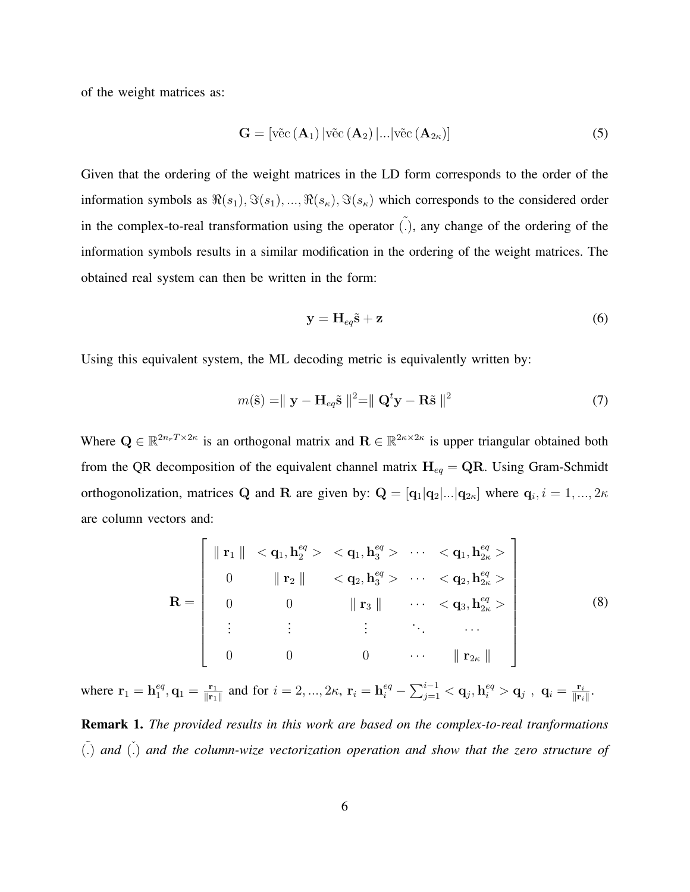of the weight matrices as:

$$
\mathbf{G} = [\text{vēc}(\mathbf{A}_1) | \text{vēc}(\mathbf{A}_2) |... | \text{vēc}(\mathbf{A}_{2\kappa})]
$$
(5)

Given that the ordering of the weight matrices in the LD form corresponds to the order of the information symbols as  $\Re(s_1), \Im(s_1), ..., \Re(s_\kappa), \Im(s_\kappa)$  which corresponds to the considered order in the complex-to-real transformation using the operator  $\tilde{(.)}$ , any change of the ordering of the information symbols results in a similar modification in the ordering of the weight matrices. The obtained real system can then be written in the form:

$$
y = H_{eq}\tilde{s} + z \tag{6}
$$

Using this equivalent system, the ML decoding metric is equivalently written by:

$$
m(\tilde{\mathbf{s}}) = ||\mathbf{y} - \mathbf{H}_{eq}\tilde{\mathbf{s}}||^2 = ||\mathbf{Q}^t\mathbf{y} - \mathbf{R}\tilde{\mathbf{s}}||^2 \tag{7}
$$

Where  $Q \in \mathbb{R}^{2n_r T \times 2\kappa}$  is an orthogonal matrix and  $\mathbf{R} \in \mathbb{R}^{2\kappa \times 2\kappa}$  is upper triangular obtained both from the QR decomposition of the equivalent channel matrix  $H_{eq} = QR$ . Using Gram-Schmidt orthogonolization, matrices Q and R are given by:  $Q = [q_1|q_2|...|q_{2\kappa}]$  where  $q_i$ ,  $i = 1, ..., 2\kappa$ are column vectors and:

$$
\mathbf{R} = \left[\begin{array}{ccccccc} \|\mathbf{r}_1\| & < \mathbf{q}_1, \mathbf{h}_2^{eq} > < \mathbf{q}_1, \mathbf{h}_3^{eq} > & \cdots < \mathbf{q}_1, \mathbf{h}_{2\kappa}^{eq} > \\ 0 & & & & & & \\ 0 & & & & & & & \\ 0 & & & & & & & \\ 0 & & & & & & & \\ \vdots & & & & & & & & \\ \vdots & & & & & & & & \\ 0 & & & & & & & & \\ \vdots & & & & & & & & \\ 0 & & & & & & & & \\ \end{array}\right] \quad \begin{array}{c}\n\|\mathbf{r}_1\| & < \mathbf{q}_1, \mathbf{h}_3^{eq} > & \cdots < \mathbf{q}_1, \mathbf{h}_{2\kappa}^{eq} > \\
\mathbf{r}_2\| & & & & & & & & \\ \vdots & & & & & & & & \\ 0 & & & & & & & & \\ \end{array}\right] \quad (8)
$$

where  $\mathbf{r}_1 = \mathbf{h}_1^{eq}$  $_1^{eq}, \mathbf{q}_1 = \frac{\mathbf{r}_1}{\|\mathbf{r}_1\|}$  $\frac{\mathbf{r}_1}{\|\mathbf{r}_1\|}$  and for  $i=2,...,2\kappa, \, \mathbf{r}_i=\mathbf{h}^{eq}_i-\sum_{j=1}^{i-1}<\mathbf{q}_j, \mathbf{h}^{eq}_i>\mathbf{q}_j$  ,  $\, \mathbf{q}_i=\frac{\mathbf{r}_i}{\|\mathbf{r}_i\|}$  $\frac{\mathbf{r}_i}{\|\mathbf{r}_i\|}.$ Remark 1. *The provided results in this work are based on the complex-to-real tranformations* ˜(.) *and* ˇ(.) *and the column-wize vectorization operation and show that the zero structure of*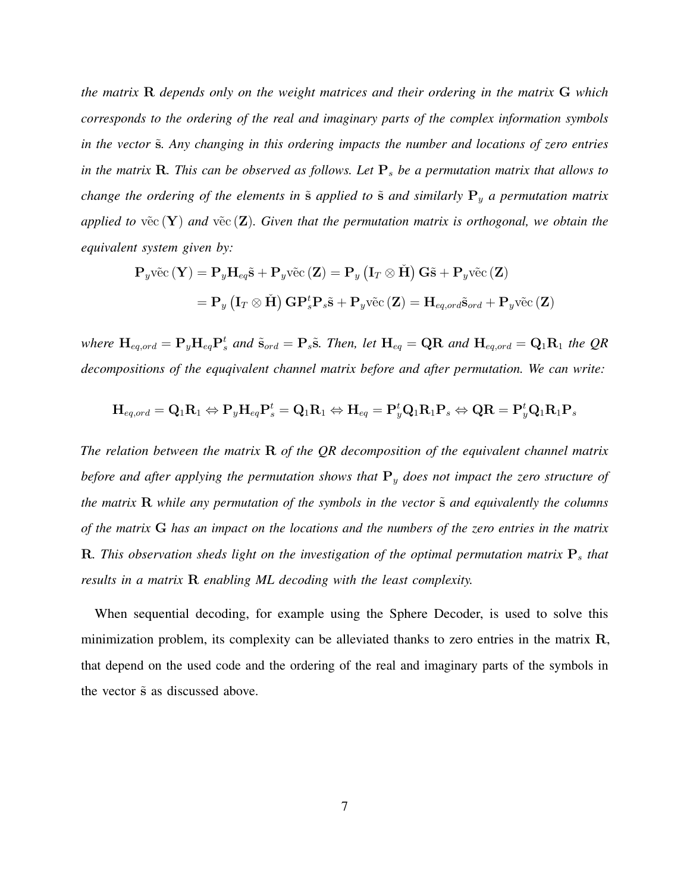*the matrix* R *depends only on the weight matrices and their ordering in the matrix* G *which corresponds to the ordering of the real and imaginary parts of the complex information symbols* in the vector  $\tilde{s}$ *. Any changing in this ordering impacts the number and locations of zero entries in the matrix*  $\bf{R}$ *. This can be observed as follows. Let*  $\bf{P}_s$  *be a permutation matrix that allows to change the ordering of the elements in* ˜s *applied to* ˜s *and similarly* P<sup>y</sup> *a permutation matrix applied to*  $\tilde{\text{vec}}(\textbf{Y})$  *and*  $\tilde{\text{vec}}(\textbf{Z})$ *. Given that the permutation matrix is orthogonal, we obtain the equivalent system given by:*

$$
\mathbf{P}_{y}\tilde{\text{vec}}(\mathbf{Y}) = \mathbf{P}_{y}\mathbf{H}_{eq}\tilde{\mathbf{s}} + \mathbf{P}_{y}\tilde{\text{vec}}(\mathbf{Z}) = \mathbf{P}_{y} (\mathbf{I}_{T} \otimes \tilde{\mathbf{H}}) \mathbf{G}\tilde{\mathbf{s}} + \mathbf{P}_{y}\tilde{\text{vec}}(\mathbf{Z})
$$

$$
= \mathbf{P}_{y} (\mathbf{I}_{T} \otimes \tilde{\mathbf{H}}) \mathbf{G}\mathbf{P}_{s}^{t}\mathbf{P}_{s}\tilde{\mathbf{s}} + \mathbf{P}_{y}\tilde{\text{vec}}(\mathbf{Z}) = \mathbf{H}_{eq,ord}\tilde{\mathbf{s}}_{ord} + \mathbf{P}_{y}\tilde{\text{vec}}(\mathbf{Z})
$$

where  $H_{eq,ord} = P_y H_{eq} P_s^t$  and  $\tilde{s}_{ord} = P_s \tilde{s}$ . Then, let  $H_{eq} = QR$  and  $H_{eq,ord} = Q_1 R_1$  the QR *decompositions of the equqivalent channel matrix before and after permutation. We can write:*

$$
\mathbf{H}_{\textit{eq},\textit{ord}}=\mathbf{Q}_1\mathbf{R}_1 \Leftrightarrow \mathbf{P}_y\mathbf{H}_{\textit{eq}}\mathbf{P}_s^t=\mathbf{Q}_1\mathbf{R}_1 \Leftrightarrow \mathbf{H}_{\textit{eq}}=\mathbf{P}_y^t\mathbf{Q}_1\mathbf{R}_1\mathbf{P}_s \Leftrightarrow \mathbf{Q}\mathbf{R}=\mathbf{P}_y^t\mathbf{Q}_1\mathbf{R}_1\mathbf{P}_s
$$

*The relation between the matrix* R *of the QR decomposition of the equivalent channel matrix before and after applying the permutation shows that* P<sup>y</sup> *does not impact the zero structure of the matrix* **R** *while any permutation of the symbols in the vector*  $\tilde{s}$  *and equivalently the columns of the matrix* G *has an impact on the locations and the numbers of the zero entries in the matrix* R. This observation sheds light on the investigation of the optimal permutation matrix  $P_s$  that *results in a matrix* R *enabling ML decoding with the least complexity.*

When sequential decoding, for example using the Sphere Decoder, is used to solve this minimization problem, its complexity can be alleviated thanks to zero entries in the matrix R, that depend on the used code and the ordering of the real and imaginary parts of the symbols in the vector  $\tilde{s}$  as discussed above.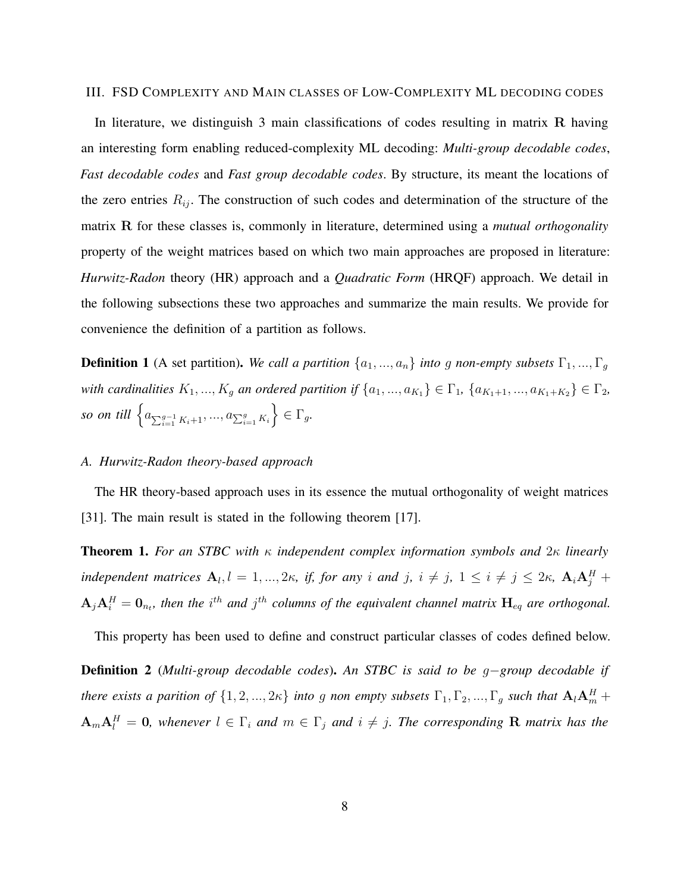#### III. FSD COMPLEXITY AND MAIN CLASSES OF LOW-COMPLEXITY ML DECODING CODES

In literature, we distinguish 3 main classifications of codes resulting in matrix R having an interesting form enabling reduced-complexity ML decoding: *Multi-group decodable codes*, *Fast decodable codes* and *Fast group decodable codes*. By structure, its meant the locations of the zero entries  $R_{ij}$ . The construction of such codes and determination of the structure of the matrix R for these classes is, commonly in literature, determined using a *mutual orthogonality* property of the weight matrices based on which two main approaches are proposed in literature: *Hurwitz-Radon* theory (HR) approach and a *Quadratic Form* (HRQF) approach. We detail in the following subsections these two approaches and summarize the main results. We provide for convenience the definition of a partition as follows.

**Definition 1** (A set partition). *We call a partition*  $\{a_1, ..., a_n\}$  *into g non-empty subsets*  $\Gamma_1, ..., \Gamma_g$ *with cardinalities*  $K_1, ..., K_g$  *an ordered partition if*  $\{a_1, ..., a_{K_1}\} \in \Gamma_1$ ,  $\{a_{K_1+1}, ..., a_{K_1+K_2}\} \in \Gamma_2$ , *so on till*  $\left\{ a_{\sum_{i=1}^{g-1} K_i + 1},..., a_{\sum_{i=1}^{g} K_i} \right\}$  $\Big\} \in \Gamma_g.$ 

#### *A. Hurwitz-Radon theory-based approach*

The HR theory-based approach uses in its essence the mutual orthogonality of weight matrices [31]. The main result is stated in the following theorem [17].

Theorem 1. *For an STBC with* κ *independent complex information symbols and* 2κ *linearly independent matrices*  $A_l$ ,  $l = 1, ..., 2\kappa$ , *if, for any i and j,*  $i \neq j$ ,  $1 \leq i \neq j \leq 2\kappa$ ,  $A_i A_j^H$  +  $A_jA_i^H=0_{n_t}$ , then the i<sup>th</sup> and j<sup>th</sup> columns of the equivalent channel matrix  $H_{eq}$  are orthogonal.

This property has been used to define and construct particular classes of codes defined below.

Definition 2 (*Multi-group decodable codes*). *An STBC is said to be* g−*group decodable if there exists a parition of*  $\{1,2,...,2\kappa\}$  *into g non empty subsets*  $\Gamma_1, \Gamma_2, ..., \Gamma_g$  *such that*  $\mathbf{A}_l \mathbf{A}_m^H$  +  $A_{m}A_{l}^{H} = 0$ , whenever  $l \in \Gamma_{i}$  and  $m \in \Gamma_{j}$  and  $i \neq j$ . The corresponding R matrix has the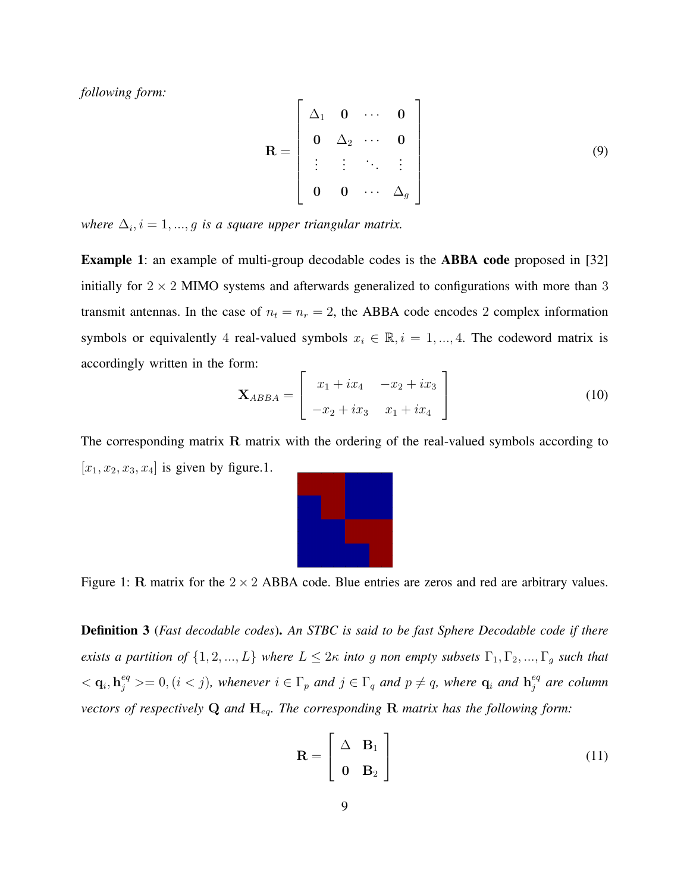*following form:*

$$
\mathbf{R} = \begin{bmatrix} \Delta_1 & \mathbf{0} & \cdots & \mathbf{0} \\ \mathbf{0} & \Delta_2 & \cdots & \mathbf{0} \\ \vdots & \vdots & \ddots & \vdots \\ \mathbf{0} & \mathbf{0} & \cdots & \Delta_g \end{bmatrix} \tag{9}
$$

 $where \Delta_i, i = 1, ..., g$  is a square upper triangular matrix.

Example 1: an example of multi-group decodable codes is the ABBA code proposed in [32] initially for  $2 \times 2$  MIMO systems and afterwards generalized to configurations with more than 3 transmit antennas. In the case of  $n_t = n_r = 2$ , the ABBA code encodes 2 complex information symbols or equivalently 4 real-valued symbols  $x_i \in \mathbb{R}, i = 1, ..., 4$ . The codeword matrix is accordingly written in the form:

$$
\mathbf{X}_{ABBA} = \begin{bmatrix} x_1 + ix_4 & -x_2 + ix_3 \\ -x_2 + ix_3 & x_1 + ix_4 \end{bmatrix}
$$
 (10)

The corresponding matrix R matrix with the ordering of the real-valued symbols according to  $[x_1, x_2, x_3, x_4]$  is given by figure.1.



Figure 1: R matrix for the  $2 \times 2$  ABBA code. Blue entries are zeros and red are arbitrary values.

Definition 3 (*Fast decodable codes*). *An STBC is said to be fast Sphere Decodable code if there exists a partition of*  $\{1, 2, ..., L\}$  *where*  $L \leq 2\kappa$  *into* g *non empty subsets*  $\Gamma_1, \Gamma_2, ..., \Gamma_g$  *such that*  $<$   $q_i$ ,  $h_j^{eq}$   $> = 0$ ,  $(i < j)$ , whenever  $i \in \Gamma_p$  and  $j \in \Gamma_q$  and  $p \neq q$ , where  $q_i$  and  $h_j^{eq}$ j *are column vectors of respectively* Q *and* Heq*. The corresponding* R *matrix has the following form:*

$$
\mathbf{R} = \begin{bmatrix} \Delta & \mathbf{B}_1 \\ \mathbf{0} & \mathbf{B}_2 \end{bmatrix}
$$
 (11)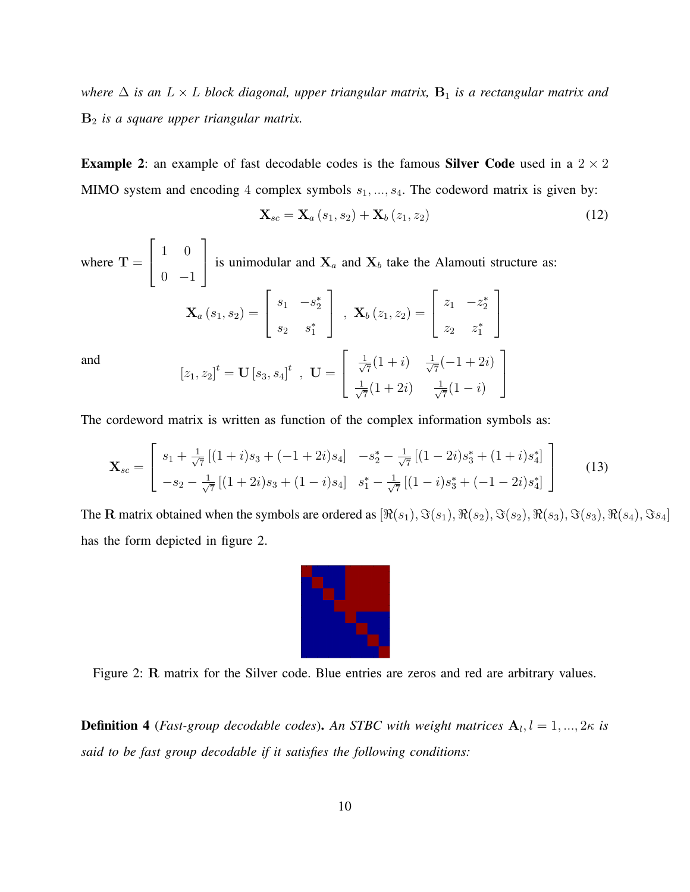*where*  $\Delta$  *is an*  $L \times L$  *block diagonal, upper triangular matrix,*  $B_1$  *is a rectangular matrix and* B<sup>2</sup> *is a square upper triangular matrix.*

**Example 2:** an example of fast decodable codes is the famous **Silver Code** used in a  $2 \times 2$ MIMO system and encoding 4 complex symbols  $s_1, ..., s_4$ . The codeword matrix is given by:

$$
\mathbf{X}_{sc} = \mathbf{X}_a \left( s_1, s_2 \right) + \mathbf{X}_b \left( z_1, z_2 \right) \tag{12}
$$

where  $T =$  $\lceil$  $\overline{1}$ 1 0  $0 -1$ 1 is unimodular and  $X_a$  and  $X_b$  take the Alamouti structure as:  $\begin{bmatrix} s_1 & -s_2^* \end{bmatrix}$  $\begin{bmatrix} z_1 & -z_2^* \end{bmatrix}$ 

$$
\mathbf{X}_{a}(s_{1}, s_{2}) = \begin{bmatrix} s_{1} & -s_{2} \\ s_{2} & s_{1}^{*} \end{bmatrix}, \quad \mathbf{X}_{b}(z_{1}, z_{2}) = \begin{bmatrix} z_{1} & -z_{2} \\ z_{2} & z_{1}^{*} \end{bmatrix}
$$

$$
[z_{1}, z_{2}]^{t} = \mathbf{U}[s_{3}, s_{4}]^{t}, \quad \mathbf{U} = \begin{bmatrix} \frac{1}{\sqrt{7}}(1+i) & \frac{1}{\sqrt{7}}(-1+2i) \\ \frac{1}{\sqrt{7}}(1+2i) & \frac{1}{\sqrt{7}}(1-i) \end{bmatrix}
$$

and

The cordeword matrix is written as function of the complex information symbols as:

$$
\mathbf{X}_{sc} = \begin{bmatrix} s_1 + \frac{1}{\sqrt{7}} \left[ (1+i)s_3 + (-1+2i)s_4 \right] & -s_2^* - \frac{1}{\sqrt{7}} \left[ (1-2i)s_3^* + (1+i)s_4^* \right] \\ -s_2 - \frac{1}{\sqrt{7}} \left[ (1+2i)s_3 + (1-i)s_4 \right] & s_1^* - \frac{1}{\sqrt{7}} \left[ (1-i)s_3^* + (-1-2i)s_4^* \right] \end{bmatrix}
$$
(13)

The R matrix obtained when the symbols are ordered as  $[\Re(s_1), \Im(s_1), \Re(s_2), \Im(s_2), \Re(s_3), \Im(s_3), \Re(s_4), \Im(s_4)]$ has the form depicted in figure 2.



Figure 2: R matrix for the Silver code. Blue entries are zeros and red are arbitrary values.

**Definition 4** (*Fast-group decodable codes*). An STBC with weight matrices  $A_l, l = 1, ..., 2\kappa$  is *said to be fast group decodable if it satisfies the following conditions:*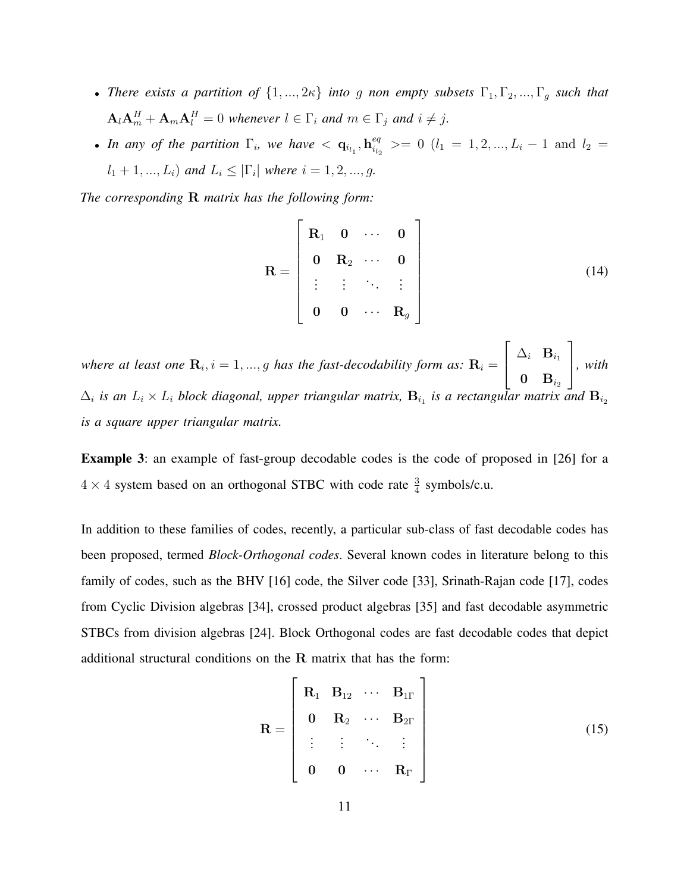- *There exists a partition of*  $\{1, ..., 2\kappa\}$  *into g non empty subsets*  $\Gamma_1, \Gamma_2, ..., \Gamma_g$  *such that*  $\mathbf{A}_{l}\mathbf{A}_{m}^{H}+\mathbf{A}_{m}\mathbf{A}_{l}^{H}=0$  whenever  $l \in \Gamma_{i}$  and  $m \in \Gamma_{j}$  and  $i \neq j$ .
- In any of the partition  $\Gamma_i$ , we have  $\langle \mathbf{q}_{i_{l_1}}, \mathbf{h}_{i_{l_2}}^{eq} \rangle$  $\begin{array}{l} e^q_i \ e^q_{i_2} \end{array}$  >= 0 ( $l_1 = 1, 2, ..., L_i - 1$  and  $l_2 =$  $l_1 + 1, ..., L_i$  *and*  $L_i \leq |\Gamma_i|$  *where*  $i = 1, 2, ..., g$ *.*

*The corresponding* R *matrix has the following form:*

$$
\mathbf{R} = \begin{bmatrix} \mathbf{R}_1 & \mathbf{0} & \cdots & \mathbf{0} \\ \mathbf{0} & \mathbf{R}_2 & \cdots & \mathbf{0} \\ \vdots & \vdots & \ddots & \vdots \\ \mathbf{0} & \mathbf{0} & \cdots & \mathbf{R}_g \end{bmatrix}
$$
(14)

where at least one  $\mathbf{R}_i$ ,  $i = 1, ..., g$  has the fast-decodability form as:  $\mathbf{R}_i =$  $\sqrt{ }$  $\overline{1}$  $\Delta_i$  B<sub>i1</sub>  $\mathbf{0} \quad \mathbf{B}_{i_2}$ 1 *, with*  $\Delta_i$  is an  $L_i \times L_i$  block diagonal, upper triangular matrix,  $B_{i_1}$  is a rectangular matrix and  $B_{i_2}$ *is a square upper triangular matrix.*

Example 3: an example of fast-group decodable codes is the code of proposed in [26] for a  $4 \times 4$  system based on an orthogonal STBC with code rate  $\frac{3}{4}$  symbols/c.u.

In addition to these families of codes, recently, a particular sub-class of fast decodable codes has been proposed, termed *Block-Orthogonal codes*. Several known codes in literature belong to this family of codes, such as the BHV [16] code, the Silver code [33], Srinath-Rajan code [17], codes from Cyclic Division algebras [34], crossed product algebras [35] and fast decodable asymmetric STBCs from division algebras [24]. Block Orthogonal codes are fast decodable codes that depict additional structural conditions on the R matrix that has the form:

$$
\mathbf{R} = \begin{bmatrix} \mathbf{R}_1 & \mathbf{B}_{12} & \cdots & \mathbf{B}_{1\Gamma} \\ \mathbf{0} & \mathbf{R}_2 & \cdots & \mathbf{B}_{2\Gamma} \\ \vdots & \vdots & \ddots & \vdots \\ \mathbf{0} & \mathbf{0} & \cdots & \mathbf{R}_{\Gamma} \end{bmatrix}
$$
(15)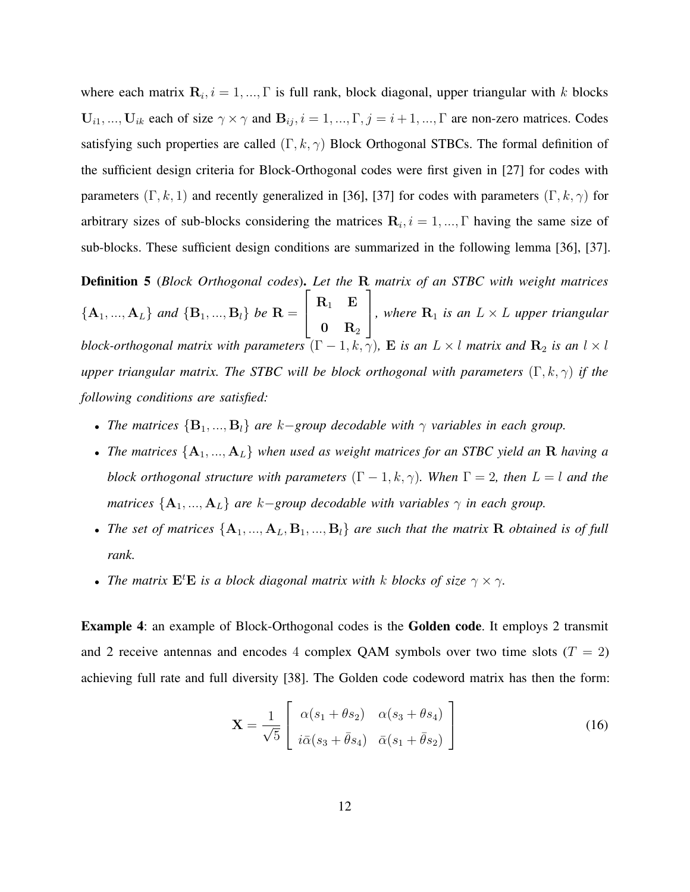where each matrix  $\mathbf{R}_i$ ,  $i = 1, ..., \Gamma$  is full rank, block diagonal, upper triangular with k blocks  $U_{i1}, ..., U_{ik}$  each of size  $\gamma \times \gamma$  and  $B_{ij}, i = 1, ..., \Gamma, j = i+1, ..., \Gamma$  are non-zero matrices. Codes satisfying such properties are called  $(\Gamma, k, \gamma)$  Block Orthogonal STBCs. The formal definition of the sufficient design criteria for Block-Orthogonal codes were first given in [27] for codes with parameters  $(\Gamma, k, 1)$  and recently generalized in [36], [37] for codes with parameters  $(\Gamma, k, \gamma)$  for arbitrary sizes of sub-blocks considering the matrices  $\mathbf{R}_i$ ,  $i = 1, ..., \Gamma$  having the same size of sub-blocks. These sufficient design conditions are summarized in the following lemma [36], [37].

Definition 5 (*Block Orthogonal codes*). *Let the* R *matrix of an STBC with weight matrices*  ${A_1, ..., A_L}$  *and*  ${B_1, ..., B_l}$  *be*  $R =$  $\sqrt{ }$  $\overline{1}$  $\mathbf{R}_1$   $\mathbf{E}$  $\mathbf{0} \quad \mathbf{R}_2$ 1 *, where*  $\mathbf{R}_1$  *is an*  $L \times L$  *upper triangular block-orthogonal matrix with parameters*  $(\Gamma - 1, k, \gamma)$ , **E** *is an*  $L \times l$  *matrix and*  $\mathbb{R}_2$  *is an*  $l \times l$ *upper triangular matrix. The STBC will be block orthogonal with parameters* (Γ, k, γ) *if the following conditions are satisfied:*

- *The matrices*  ${B_1, ..., B_l}$  *are k-group decodable with*  $\gamma$  *variables in each group.*
- *The matrices* {A1, ..., AL} *when used as weight matrices for an STBC yield an* R *having a block orthogonal structure with parameters*  $(\Gamma - 1, k, \gamma)$ *. When*  $\Gamma = 2$ *, then*  $L = l$  *and the matrices*  $\{A_1, ..., A_L\}$  *are*  $k$ *-group decodable with variables*  $\gamma$  *in each group.*
- The set of matrices  ${A_1, ..., A_L, B_1, ..., B_l}$  are such that the matrix R *obtained is of full rank.*
- *The matrix*  $\mathbf{E}^t \mathbf{E}$  *is a block diagonal matrix with* k *blocks of size*  $\gamma \times \gamma$ *.*

Example 4: an example of Block-Orthogonal codes is the Golden code. It employs 2 transmit and 2 receive antennas and encodes 4 complex QAM symbols over two time slots ( $T = 2$ ) achieving full rate and full diversity [38]. The Golden code codeword matrix has then the form:

$$
\mathbf{X} = \frac{1}{\sqrt{5}} \begin{bmatrix} \alpha(s_1 + \theta s_2) & \alpha(s_3 + \theta s_4) \\ i\bar{\alpha}(s_3 + \bar{\theta} s_4) & \bar{\alpha}(s_1 + \bar{\theta} s_2) \end{bmatrix}
$$
(16)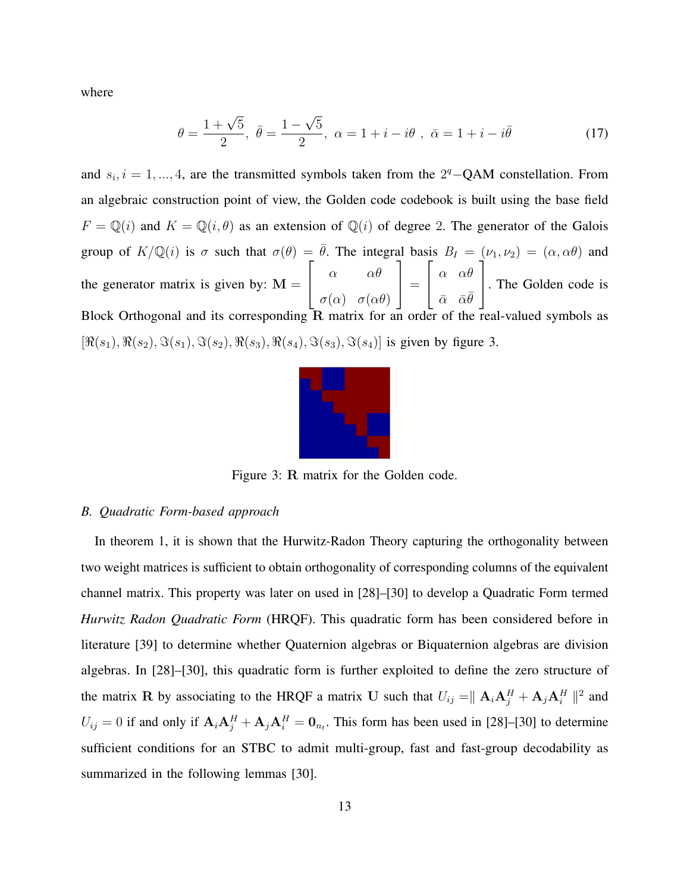where

$$
\theta = \frac{1 + \sqrt{5}}{2}, \ \bar{\theta} = \frac{1 - \sqrt{5}}{2}, \ \alpha = 1 + i - i\theta \ , \ \bar{\alpha} = 1 + i - i\bar{\theta}
$$
 (17)

and  $s_i$ ,  $i = 1, ..., 4$ , are the transmitted symbols taken from the 2<sup>q</sup>-QAM constellation. From an algebraic construction point of view, the Golden code codebook is built using the base field  $F = \mathbb{Q}(i)$  and  $K = \mathbb{Q}(i, \theta)$  as an extension of  $\mathbb{Q}(i)$  of degree 2. The generator of the Galois group of  $K/\mathbb{Q}(i)$  is  $\sigma$  such that  $\sigma(\theta) = \bar{\theta}$ . The integral basis  $B_I = (\nu_1, \nu_2) = (\alpha, \alpha\theta)$  and the generator matrix is given by:  $M =$  $\sqrt{ }$  $\vert$  $\alpha$   $\alpha\theta$  $\sigma(\alpha) \quad \sigma(\alpha\theta)$ 1  $\Big\} =$  $\sqrt{ }$  $\overline{1}$ α αθ  $\bar{\alpha}$   $\bar{\alpha}\bar{\theta}$ 1 . The Golden code is Block Orthogonal and its corresponding  $\overline{R}$  matrix for an order of the real-valued symbols as  $[\Re(s_1), \Re(s_2), \Im(s_1), \Im(s_2), \Re(s_3), \Re(s_4), \Im(s_3), \Im(s_4)]$  is given by figure 3.



Figure 3: R matrix for the Golden code.

#### *B. Quadratic Form-based approach*

In theorem 1, it is shown that the Hurwitz-Radon Theory capturing the orthogonality between two weight matrices is sufficient to obtain orthogonality of corresponding columns of the equivalent channel matrix. This property was later on used in [28]–[30] to develop a Quadratic Form termed *Hurwitz Radon Quadratic Form* (HRQF). This quadratic form has been considered before in literature [39] to determine whether Quaternion algebras or Biquaternion algebras are division algebras. In [28]–[30], this quadratic form is further exploited to define the zero structure of the matrix R by associating to the HRQF a matrix U such that  $U_{ij} = ||A_i A_j^H + A_j A_i^H||^2$  and  $U_{ij} = 0$  if and only if  $A_i A_j^H + A_j A_i^H = 0_{n_t}$ . This form has been used in [28]–[30] to determine sufficient conditions for an STBC to admit multi-group, fast and fast-group decodability as summarized in the following lemmas [30].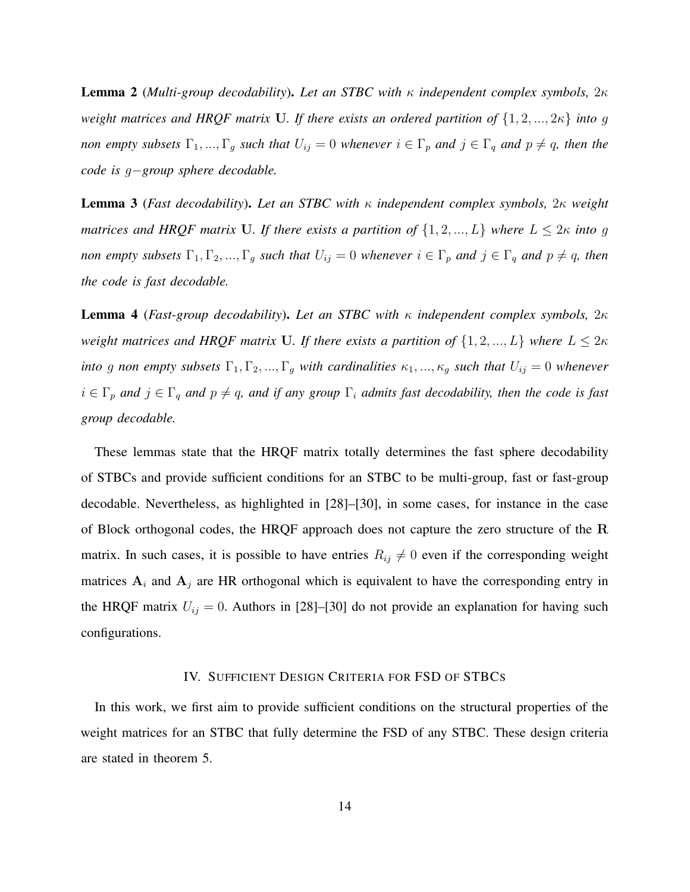Lemma 2 (*Multi-group decodability*). *Let an STBC with* κ *independent complex symbols,* 2κ *weight matrices and HRQF matrix* U*. If there exists an ordered partition of* {1, 2, ..., 2κ} *into* g *non empty subsets*  $\Gamma_1, ..., \Gamma_g$  *such that*  $U_{ij} = 0$  *whenever*  $i \in \Gamma_p$  *and*  $j \in \Gamma_q$  *and*  $p \neq q$ *, then the code is* g−*group sphere decodable.*

Lemma 3 (*Fast decodability*). *Let an STBC with* κ *independent complex symbols,* 2κ *weight matrices and HRQF matrix* U. If there exists a partition of  $\{1, 2, ..., L\}$  where  $L \leq 2\kappa$  into g *non empty subsets*  $\Gamma_1, \Gamma_2, ..., \Gamma_g$  *such that*  $U_{ij} = 0$  *whenever*  $i \in \Gamma_p$  *and*  $j \in \Gamma_q$  *and*  $p \neq q$ *, then the code is fast decodable.*

Lemma 4 (*Fast-group decodability*). *Let an STBC with* κ *independent complex symbols,* 2κ *weight matrices and HRQF matrix* U. If there exists a partition of  $\{1, 2, ..., L\}$  where  $L \leq 2\kappa$ *into* g non empty subsets  $\Gamma_1, \Gamma_2, ..., \Gamma_g$  *with cardinalities*  $\kappa_1, ..., \kappa_g$  *such that*  $U_{ij} = 0$  *whenever*  $i \in \Gamma_p$  and  $j \in \Gamma_q$  and  $p \neq q$ , and if any group  $\Gamma_i$  admits fast decodability, then the code is fast *group decodable.*

These lemmas state that the HRQF matrix totally determines the fast sphere decodability of STBCs and provide sufficient conditions for an STBC to be multi-group, fast or fast-group decodable. Nevertheless, as highlighted in [28]–[30], in some cases, for instance in the case of Block orthogonal codes, the HRQF approach does not capture the zero structure of the R matrix. In such cases, it is possible to have entries  $R_{ij} \neq 0$  even if the corresponding weight matrices  $A_i$  and  $A_j$  are HR orthogonal which is equivalent to have the corresponding entry in the HRQF matrix  $U_{ij} = 0$ . Authors in [28]–[30] do not provide an explanation for having such configurations.

## IV. SUFFICIENT DESIGN CRITERIA FOR FSD OF STBCS

In this work, we first aim to provide sufficient conditions on the structural properties of the weight matrices for an STBC that fully determine the FSD of any STBC. These design criteria are stated in theorem 5.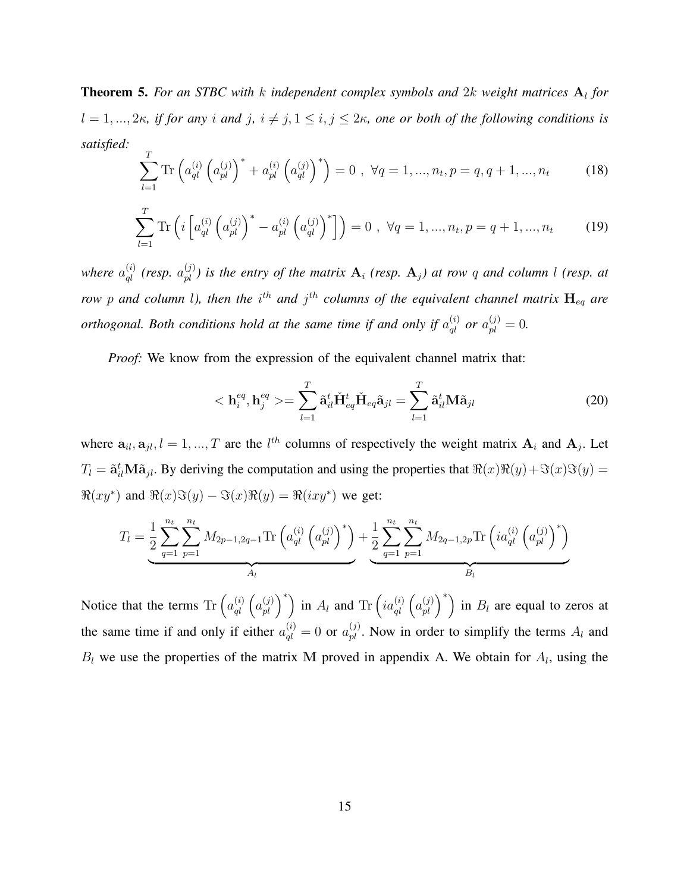**Theorem 5.** For an STBC with k independent complex symbols and 2k weight matrices  $A_l$  for  $l = 1, ..., 2\kappa$ , if for any i and j,  $i \neq j, 1 \leq i, j \leq 2\kappa$ , one or both of the following conditions is *satisfied:*

$$
\sum_{l=1}^{T} \text{Tr} \left( a_{ql}^{(i)} \left( a_{pl}^{(j)} \right)^* + a_{pl}^{(i)} \left( a_{ql}^{(j)} \right)^* \right) = 0 \ , \ \forall q = 1, ..., n_t, p = q, q+1, ..., n_t \tag{18}
$$

$$
\sum_{l=1}^{T} \text{Tr} \left( i \left[ a_{ql}^{(i)} \left( a_{pl}^{(j)} \right)^* - a_{pl}^{(i)} \left( a_{ql}^{(j)} \right)^* \right] \right) = 0 \ , \ \forall q = 1, ..., n_t, p = q + 1, ..., n_t \tag{19}
$$

where  $a_{ql}^{(i)}$  (resp.  $a_{pl}^{(j)}$ ) is the entry of the matrix  $A_i$  (resp.  $A_j$ ) at row q and column l (resp. at *row* p and column l), then the  $i^{th}$  and  $j^{th}$  columns of the equivalent channel matrix  $\mathbf{H}_{eq}$  are *orthogonal. Both conditions hold at the same time if and only if*  $a_{ql}^{(i)}$  *or*  $a_{pl}^{(j)} = 0$ .

*Proof:* We know from the expression of the equivalent channel matrix that:

$$
\langle \mathbf{h}_i^{eq}, \mathbf{h}_j^{eq} \rangle = \sum_{l=1}^T \tilde{\mathbf{a}}_{il}^t \check{\mathbf{H}}_{eq}^t \check{\mathbf{H}}_{eq}^t \tilde{\mathbf{H}}_{eq} a_{jl} = \sum_{l=1}^T \tilde{\mathbf{a}}_{il}^t \mathbf{M} \tilde{\mathbf{a}}_{jl}
$$
(20)

where  $a_{il}, a_{jl}, l = 1, ..., T$  are the  $l^{th}$  columns of respectively the weight matrix  $A_i$  and  $A_j$ . Let  $T_l = \tilde{\mathbf{a}}_{il}^t \mathbf{M} \tilde{\mathbf{a}}_{jl}$ . By deriving the computation and using the properties that  $\Re(x)\Re(y) + \Im(x)\Im(y) =$  $\Re(xy^*)$  and  $\Re(x)\Im(y) - \Im(x)\Re(y) = \Re(ixy^*)$  we get:

$$
T_{l} = \underbrace{\frac{1}{2} \sum_{q=1}^{n_{t}} \sum_{p=1}^{n_{t}} M_{2p-1,2q-1} \text{Tr} \left( a_{ql}^{(i)} \left( a_{pl}^{(j)} \right)^{*} \right)}_{A_{l}} + \underbrace{\frac{1}{2} \sum_{q=1}^{n_{t}} \sum_{p=1}^{n_{t}} M_{2q-1,2p} \text{Tr} \left( i a_{ql}^{(i)} \left( a_{pl}^{(j)} \right)^{*} \right)}_{B_{l}}
$$

Notice that the terms  $\text{Tr} \left( a_{ql}^{(i)} \left( a_{pl}^{(j)} \right)^* \right)$  in  $A_l$  and  $\text{Tr} \left( i a_{ql}^{(i)} \left( a_{pl}^{(j)} \right)^* \right)$  in  $B_l$  are equal to zeros at the same time if and only if either  $a_{ql}^{(i)} = 0$  or  $a_{pl}^{(j)}$ . Now in order to simplify the terms  $A_l$  and  $B_l$  we use the properties of the matrix M proved in appendix A. We obtain for  $A_l$ , using the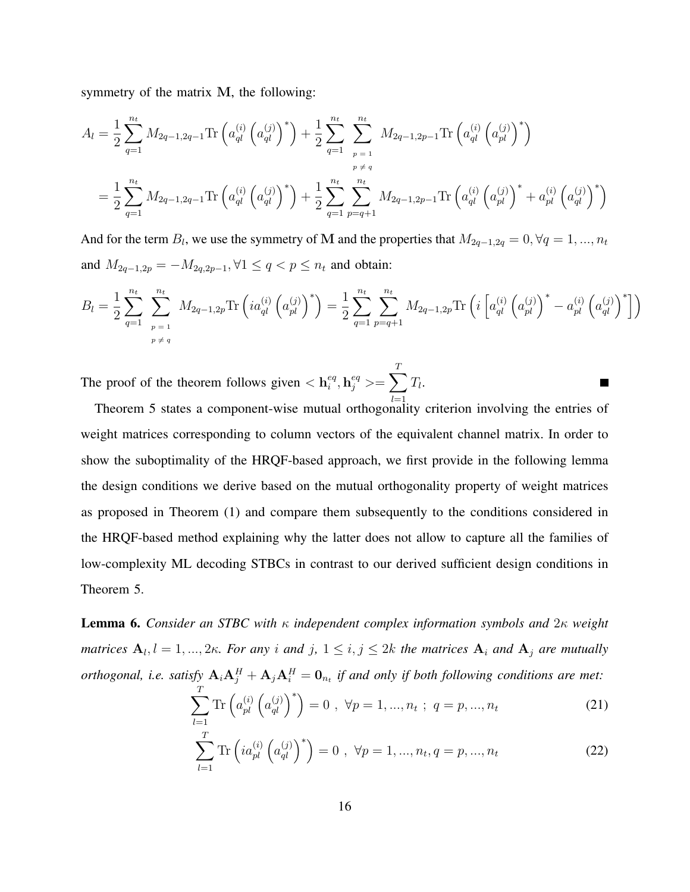symmetry of the matrix M, the following:

$$
A_{l} = \frac{1}{2} \sum_{q=1}^{n_{t}} M_{2q-1,2q-1} \text{Tr} \left( a_{ql}^{(i)} \left( a_{ql}^{(j)} \right)^{*} \right) + \frac{1}{2} \sum_{q=1}^{n_{t}} \sum_{p=1}^{n_{t}} M_{2q-1,2p-1} \text{Tr} \left( a_{ql}^{(i)} \left( a_{pl}^{(j)} \right)^{*} \right)
$$
  

$$
= \frac{1}{2} \sum_{q=1}^{n_{t}} M_{2q-1,2q-1} \text{Tr} \left( a_{ql}^{(i)} \left( a_{ql}^{(j)} \right)^{*} \right) + \frac{1}{2} \sum_{q=1}^{n_{t}} \sum_{p=q+1}^{n_{t}} M_{2q-1,2p-1} \text{Tr} \left( a_{ql}^{(i)} \left( a_{pl}^{(j)} \right)^{*} + a_{pl}^{(i)} \left( a_{ql}^{(j)} \right)^{*} \right)
$$

And for the term  $B_l$ , we use the symmetry of M and the properties that  $M_{2q-1,2q} = 0, \forall q = 1, ..., n_t$ and  $M_{2q-1,2p} = -M_{2q,2p-1}, \forall 1 ≤ q < p ≤ n_t$  and obtain:

$$
B_{l} = \frac{1}{2} \sum_{q=1}^{n_{t}} \sum_{\substack{p=1 \ p \neq q}}^{n_{t}} M_{2q-1,2p} \text{Tr} \left( i a_{ql}^{(i)} \left( a_{pl}^{(j)} \right)^{*} \right) = \frac{1}{2} \sum_{q=1}^{n_{t}} \sum_{p=q+1}^{n_{t}} M_{2q-1,2p} \text{Tr} \left( i \left[ a_{ql}^{(i)} \left( a_{pl}^{(j)} \right)^{*} - a_{pl}^{(i)} \left( a_{ql}^{(j)} \right)^{*} \right] \right)
$$

Г

The proof of the theorem follows given  $\langle \mathbf{h}_i^{eq} \rangle$  $e^{\epsilon q}, \mathbf{h}^{e q}_{j} >= \sum_{j}$ T  $_{l=1}$  $T_l$ .

Theorem 5 states a component-wise mutual orthogonality criterion involving the entries of weight matrices corresponding to column vectors of the equivalent channel matrix. In order to show the suboptimality of the HRQF-based approach, we first provide in the following lemma the design conditions we derive based on the mutual orthogonality property of weight matrices as proposed in Theorem (1) and compare them subsequently to the conditions considered in the HRQF-based method explaining why the latter does not allow to capture all the families of low-complexity ML decoding STBCs in contrast to our derived sufficient design conditions in Theorem 5.

Lemma 6. *Consider an STBC with* κ *independent complex information symbols and* 2κ *weight matrices*  $A_l$ ,  $l = 1, ..., 2\kappa$ . For any i and j,  $1 \le i, j \le 2k$  the matrices  $A_i$  and  $A_j$  are mutually *orthogonal, i.e. satisfy*  $A_iA_j^H + A_jA_i^H = 0_{n_t}$  *if and only if both following conditions are met:* 

$$
\sum_{l=1}^{T} \text{Tr} \left( a_{pl}^{(i)} \left( a_{ql}^{(j)} \right)^{*} \right) = 0 \ , \ \forall p = 1, ..., n_t \ ; \ q = p, ..., n_t \tag{21}
$$

$$
\sum_{l=1}^{T} \text{Tr} \left( i a_{pl}^{(i)} \left( a_{ql}^{(j)} \right)^{*} \right) = 0 \ , \ \forall p = 1, ..., n_t, q = p, ..., n_t \tag{22}
$$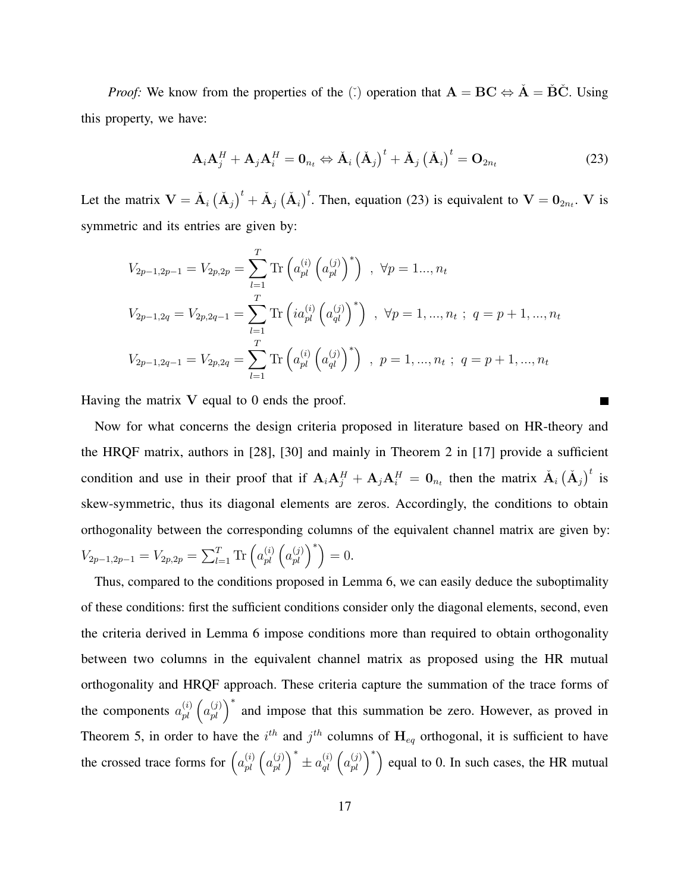*Proof:* We know from the properties of the ( $\check{\cdot}$ ) operation that  $\mathbf{A} = \mathbf{B}\mathbf{C} \Leftrightarrow \check{\mathbf{A}} = \check{\mathbf{B}}\check{\mathbf{C}}$ . Using this property, we have:

$$
\mathbf{A}_{i}\mathbf{A}_{j}^{H}+\mathbf{A}_{j}\mathbf{A}_{i}^{H}=\mathbf{0}_{n_{t}}\Leftrightarrow\check{\mathbf{A}}_{i}\left(\check{\mathbf{A}}_{j}\right)^{t}+\check{\mathbf{A}}_{j}\left(\check{\mathbf{A}}_{i}\right)^{t}=\mathbf{O}_{2n_{t}}\tag{23}
$$

Let the matrix  $V = \tilde{A}_i (\tilde{A}_j)^t + \tilde{A}_j (\tilde{A}_i)^t$ . Then, equation (23) is equivalent to  $V = 0_{2n_t}$ . V is symmetric and its entries are given by:

$$
V_{2p-1,2p-1} = V_{2p,2p} = \sum_{l=1}^{T} \text{Tr} \left( a_{pl}^{(i)} \left( a_{pl}^{(j)} \right)^{*} \right) , \ \forall p = 1... , n_t
$$
  

$$
V_{2p-1,2q} = V_{2p,2q-1} = \sum_{l=1}^{T} \text{Tr} \left( i a_{pl}^{(i)} \left( a_{ql}^{(j)} \right)^{*} \right) , \ \forall p = 1,... , n_t ; \ q = p + 1,... , n_t
$$
  

$$
V_{2p-1,2q-1} = V_{2p,2q} = \sum_{l=1}^{T} \text{Tr} \left( a_{pl}^{(i)} \left( a_{ql}^{(j)} \right)^{*} \right) , \ p = 1,... , n_t ; \ q = p + 1,... , n_t
$$

Having the matrix  $V$  equal to 0 ends the proof.

Now for what concerns the design criteria proposed in literature based on HR-theory and the HRQF matrix, authors in [28], [30] and mainly in Theorem 2 in [17] provide a sufficient condition and use in their proof that if  $A_iA_j^H + A_jA_i^H = 0_{n_t}$  then the matrix  $\tilde{A}_i(\tilde{A}_j)^t$  is skew-symmetric, thus its diagonal elements are zeros. Accordingly, the conditions to obtain orthogonality between the corresponding columns of the equivalent channel matrix are given by:  $V_{2p-1,2p-1} = V_{2p,2p} = \sum_{l=1}^{T} \text{Tr} \left( a_{pl}^{(i)} \left( a_{pl}^{(j)} \right)^* \right) = 0.$ 

Thus, compared to the conditions proposed in Lemma 6, we can easily deduce the suboptimality of these conditions: first the sufficient conditions consider only the diagonal elements, second, even the criteria derived in Lemma 6 impose conditions more than required to obtain orthogonality between two columns in the equivalent channel matrix as proposed using the HR mutual orthogonality and HRQF approach. These criteria capture the summation of the trace forms of the components  $a_{pl}^{(i)}$   $\left(a_{pl}^{(j)}\right)^*$  and impose that this summation be zero. However, as proved in Theorem 5, in order to have the  $i^{th}$  and  $j^{th}$  columns of  $H_{eq}$  orthogonal, it is sufficient to have the crossed trace forms for  $\left(a_{pl}^{(i)}\left(a_{pl}^{(j)}\right)^* \pm a_{ql}^{(i)}\left(a_{pl}^{(j)}\right)^*\right)$  equal to 0. In such cases, the HR mutual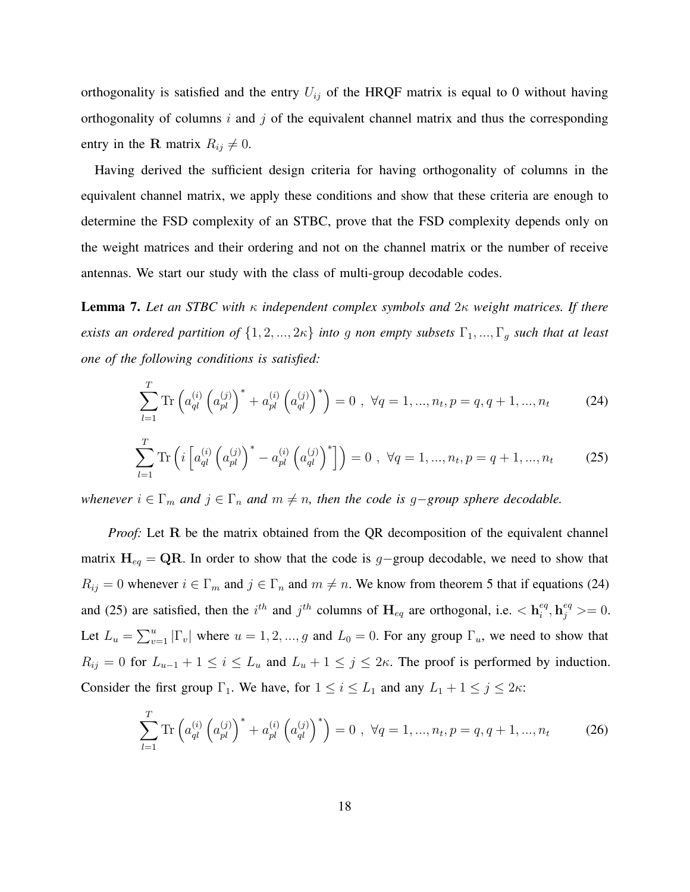orthogonality is satisfied and the entry  $U_{ij}$  of the HRQF matrix is equal to 0 without having orthogonality of columns  $i$  and  $j$  of the equivalent channel matrix and thus the corresponding entry in the R matrix  $R_{ij} \neq 0$ .

Having derived the sufficient design criteria for having orthogonality of columns in the equivalent channel matrix, we apply these conditions and show that these criteria are enough to determine the FSD complexity of an STBC, prove that the FSD complexity depends only on the weight matrices and their ordering and not on the channel matrix or the number of receive antennas. We start our study with the class of multi-group decodable codes.

Lemma 7. *Let an STBC with* κ *independent complex symbols and* 2κ *weight matrices. If there exists an ordered partition of*  $\{1, 2, ..., 2\kappa\}$  *into g non empty subsets*  $\Gamma_1, ..., \Gamma_g$  *such that at least one of the following conditions is satisfied:*

$$
\sum_{l=1}^{T} \text{Tr} \left( a_{ql}^{(i)} \left( a_{pl}^{(j)} \right)^* + a_{pl}^{(i)} \left( a_{ql}^{(j)} \right)^* \right) = 0 \ , \ \forall q = 1, ..., n_t, p = q, q+1, ..., n_t \tag{24}
$$

$$
\sum_{l=1}^{T} \text{Tr} \left( i \left[ a_{ql}^{(i)} \left( a_{pl}^{(j)} \right)^* - a_{pl}^{(i)} \left( a_{ql}^{(j)} \right)^* \right] \right) = 0 \ , \ \forall q = 1, ..., n_t, p = q + 1, ..., n_t \tag{25}
$$

*whenever*  $i \in \Gamma_m$  *and*  $j \in \Gamma_n$  *and*  $m \neq n$ , *then the code is* g−*group sphere decodable.* 

*Proof:* Let R be the matrix obtained from the QR decomposition of the equivalent channel matrix  $H_{eq} = QR$ . In order to show that the code is g-group decodable, we need to show that  $R_{ij} = 0$  whenever  $i \in \Gamma_m$  and  $j \in \Gamma_n$  and  $m \neq n$ . We know from theorem 5 that if equations (24) and (25) are satisfied, then the  $i^{th}$  and  $j^{th}$  columns of  $H_{eq}$  are orthogonal, i.e.  $\langle h_i^{eq} \rangle$  $e^{eq}_{i}, \mathbf{h}^{eq}_{j} >= 0.$ Let  $L_u = \sum_{v=1}^u |\Gamma_v|$  where  $u = 1, 2, ..., g$  and  $L_0 = 0$ . For any group  $\Gamma_u$ , we need to show that  $R_{ij} = 0$  for  $L_{u-1} + 1 \le i \le L_u$  and  $L_u + 1 \le j \le 2\kappa$ . The proof is performed by induction. Consider the first group  $\Gamma_1$ . We have, for  $1 \le i \le L_1$  and any  $L_1 + 1 \le j \le 2\kappa$ :

$$
\sum_{l=1}^{T} \text{Tr} \left( a_{ql}^{(i)} \left( a_{pl}^{(j)} \right)^* + a_{pl}^{(i)} \left( a_{ql}^{(j)} \right)^* \right) = 0 \ , \ \forall q = 1, ..., n_t, p = q, q+1, ..., n_t \tag{26}
$$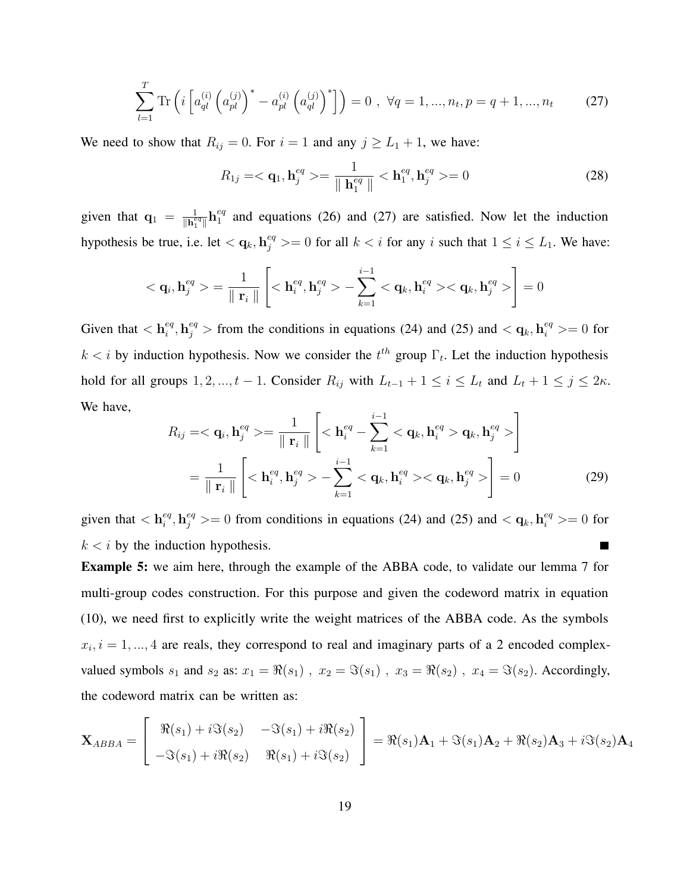$$
\sum_{l=1}^{T} \text{Tr} \left( i \left[ a_{ql}^{(i)} \left( a_{pl}^{(j)} \right)^* - a_{pl}^{(i)} \left( a_{ql}^{(j)} \right)^* \right] \right) = 0 \, , \, \forall q = 1, ..., n_t, p = q + 1, ..., n_t \tag{27}
$$

We need to show that  $R_{ij} = 0$ . For  $i = 1$  and any  $j \ge L_1 + 1$ , we have:

$$
R_{1j} = \langle \mathbf{q}_1, \mathbf{h}_j^{eq} \rangle = \frac{1}{\|\mathbf{h}_1^{eq}\|} \langle \mathbf{h}_1^{eq}, \mathbf{h}_j^{eq} \rangle = 0 \tag{28}
$$

given that  $q_1 = \frac{1}{\ln e}$  $\frac{1}{\|\mathbf{h}^{eq}_1\|} \mathbf{h}^{eq}_1$  $_{1}^{eq}$  and equations (26) and (27) are satisfied. Now let the induction hypothesis be true, i.e. let  $\langle \mathbf{q}_k, \mathbf{h}_j^{eq} \rangle = 0$  for all  $k \langle i \rangle$  for any i such that  $1 \leq i \leq L_1$ . We have:

$$
\langle \mathbf{q}_i, \mathbf{h}_j^{eq} \rangle = \frac{1}{\Vert \mathbf{r}_i \Vert} \left[ \langle \mathbf{h}_i^{eq}, \mathbf{h}_j^{eq} \rangle - \sum_{k=1}^{i-1} \langle \mathbf{q}_k, \mathbf{h}_i^{eq} \rangle \langle \mathbf{q}_k, \mathbf{h}_j^{eq} \rangle \right] = 0
$$

Given that  $\langle \mathbf{h}_i^{eq} \rangle$  $\mathbf{e}_i^{eq}$ ,  $\mathbf{h}_j^{eq}$  > from the conditions in equations (24) and (25) and  $\langle \mathbf{q}_k, \mathbf{h}_i^{eq} \rangle = 0$  for  $k < i$  by induction hypothesis. Now we consider the  $t^{th}$  group  $\Gamma_t$ . Let the induction hypothesis hold for all groups  $1, 2, ..., t - 1$ . Consider  $R_{ij}$  with  $L_{t-1} + 1 \le i \le L_t$  and  $L_t + 1 \le j \le 2\kappa$ . We have,

$$
R_{ij} = \langle \mathbf{q}_i, \mathbf{h}_j^{eq} \rangle = \frac{1}{\|\mathbf{r}_i\|} \left[ \langle \mathbf{h}_i^{eq} - \sum_{k=1}^{i-1} \langle \mathbf{q}_k, \mathbf{h}_i^{eq} \rangle \mathbf{q}_k, \mathbf{h}_j^{eq} \rangle \right]
$$

$$
= \frac{1}{\|\mathbf{r}_i\|} \left[ \langle \mathbf{h}_i^{eq}, \mathbf{h}_j^{eq} \rangle - \sum_{k=1}^{i-1} \langle \mathbf{q}_k, \mathbf{h}_i^{eq} \rangle \langle \mathbf{q}_k, \mathbf{h}_j^{eq} \rangle \right] = 0 \tag{29}
$$

given that  $\langle \mathbf{h}_i^{eq} \rangle$  $\epsilon_i^{eq}$ ,  $\mathbf{h}_j^{eq}$  >= 0 from conditions in equations (24) and (25) and <  $\mathbf{q}_k$ ,  $\mathbf{h}_i^{eq}$  >= 0 for  $k < i$  by the induction hypothesis.  $\blacksquare$ 

Example 5: we aim here, through the example of the ABBA code, to validate our lemma 7 for multi-group codes construction. For this purpose and given the codeword matrix in equation (10), we need first to explicitly write the weight matrices of the ABBA code. As the symbols  $x_i$ ,  $i = 1, \ldots, 4$  are reals, they correspond to real and imaginary parts of a 2 encoded complexvalued symbols  $s_1$  and  $s_2$  as:  $x_1 = \Re(s_1)$ ,  $x_2 = \Im(s_1)$ ,  $x_3 = \Re(s_2)$ ,  $x_4 = \Im(s_2)$ . Accordingly, the codeword matrix can be written as:

$$
\mathbf{X}_{ABBA} = \begin{bmatrix} \Re(s_1) + i \Im(s_2) & -\Im(s_1) + i \Re(s_2) \\ -\Im(s_1) + i \Re(s_2) & \Re(s_1) + i \Im(s_2) \end{bmatrix} = \Re(s_1) \mathbf{A}_1 + \Im(s_1) \mathbf{A}_2 + \Re(s_2) \mathbf{A}_3 + i \Im(s_2) \mathbf{A}_4
$$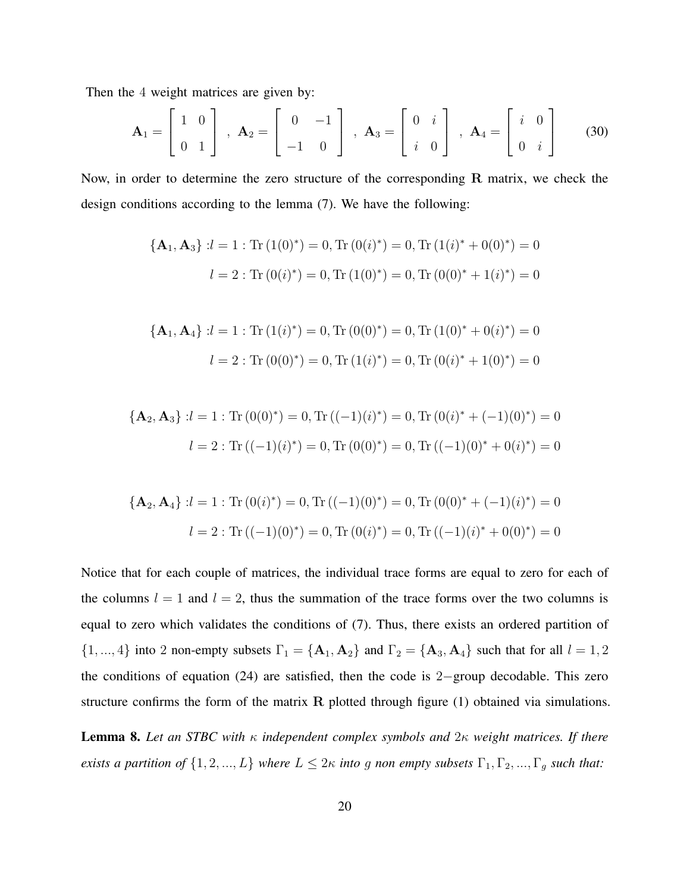Then the 4 weight matrices are given by:

$$
\mathbf{A}_1 = \begin{bmatrix} 1 & 0 \\ 0 & 1 \end{bmatrix}, \ \mathbf{A}_2 = \begin{bmatrix} 0 & -1 \\ -1 & 0 \end{bmatrix}, \ \mathbf{A}_3 = \begin{bmatrix} 0 & i \\ i & 0 \end{bmatrix}, \ \mathbf{A}_4 = \begin{bmatrix} i & 0 \\ 0 & i \end{bmatrix}
$$
(30)

Now, in order to determine the zero structure of the corresponding R matrix, we check the design conditions according to the lemma (7). We have the following:

$$
\{A_1, A_3\} : l = 1 : \text{Tr} (1(0)^*) = 0, \text{Tr} (0(i)^*) = 0, \text{Tr} (1(i)^* + 0(0)^*) = 0
$$

$$
l = 2 : \text{Tr} (0(i)^*) = 0, \text{Tr} (1(0)^*) = 0, \text{Tr} (0(0)^* + 1(i)^*) = 0
$$

$$
\{A_1, A_4\} : l = 1 : \text{Tr} (1(i)^*) = 0, \text{Tr} (0(0)^*) = 0, \text{Tr} (1(0)^* + 0(i)^*) = 0
$$

$$
l = 2 : \text{Tr} (0(0)^*) = 0, \text{Tr} (1(i)^*) = 0, \text{Tr} (0(i)^* + 1(0)^*) = 0
$$

$$
\{A_2, A_3\} : l = 1 : \text{Tr}(0(0)^*) = 0, \text{Tr}((-1)(i)^*) = 0, \text{Tr}(0(i)^* + (-1)(0)^*) = 0
$$

$$
l = 2 : \text{Tr}((-1)(i)^*) = 0, \text{Tr}(0(0)^*) = 0, \text{Tr}((-1)(0)^* + 0(i)^*) = 0
$$

$$
\{A_2, A_4\} : l = 1 : \text{Tr}(0(i)^*) = 0, \text{Tr}((-1)(0)^*) = 0, \text{Tr}(0(0)^* + (-1)(i)^*) = 0
$$

$$
l = 2 : \text{Tr}((-1)(0)^*) = 0, \text{Tr}(0(i)^*) = 0, \text{Tr}((-1)(i)^* + 0(0)^*) = 0
$$

Notice that for each couple of matrices, the individual trace forms are equal to zero for each of the columns  $l = 1$  and  $l = 2$ , thus the summation of the trace forms over the two columns is equal to zero which validates the conditions of (7). Thus, there exists an ordered partition of  $\{1, ..., 4\}$  into 2 non-empty subsets  $\Gamma_1 = \{A_1, A_2\}$  and  $\Gamma_2 = \{A_3, A_4\}$  such that for all  $l = 1, 2$ the conditions of equation (24) are satisfied, then the code is 2−group decodable. This zero structure confirms the form of the matrix  $R$  plotted through figure (1) obtained via simulations.

Lemma 8. *Let an STBC with* κ *independent complex symbols and* 2κ *weight matrices. If there exists a partition of*  $\{1, 2, ..., L\}$  *where*  $L \leq 2\kappa$  *into* g *non empty subsets*  $\Gamma_1, \Gamma_2, ..., \Gamma_g$  *such that:*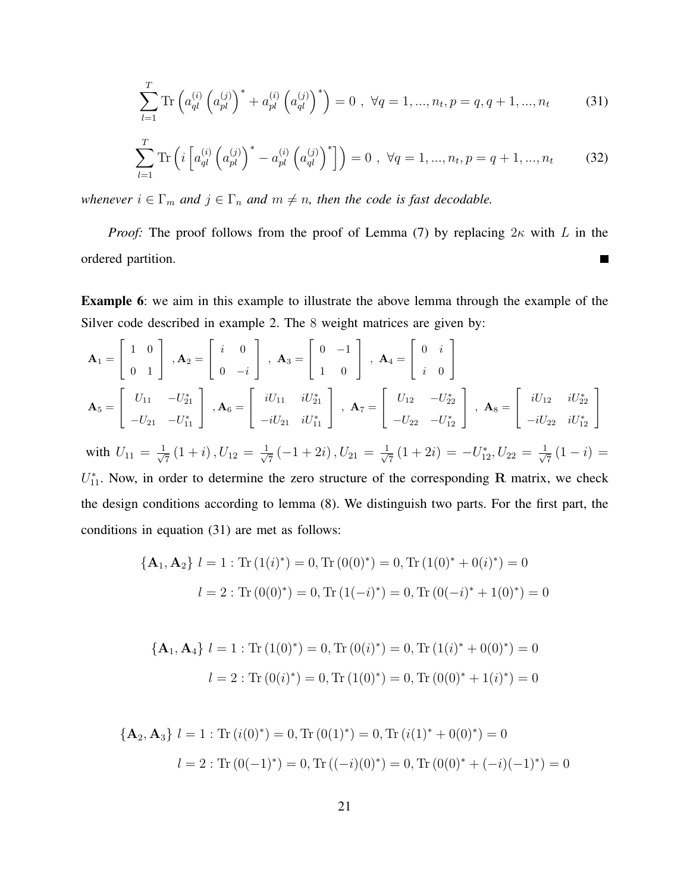$$
\sum_{l=1}^{T} \text{Tr} \left( a_{ql}^{(i)} \left( a_{pl}^{(j)} \right)^* + a_{pl}^{(i)} \left( a_{ql}^{(j)} \right)^* \right) = 0 \ , \ \forall q = 1, ..., n_t, p = q, q + 1, ..., n_t \tag{31}
$$

$$
\sum_{l=1}^{T} \text{Tr} \left( i \left[ a_{ql}^{(i)} \left( a_{pl}^{(j)} \right)^* - a_{pl}^{(i)} \left( a_{ql}^{(j)} \right)^* \right] \right) = 0 \ , \ \forall q = 1, ..., n_t, p = q + 1, ..., n_t \tag{32}
$$

*whenever*  $i \in \Gamma_m$  *and*  $j \in \Gamma_n$  *and*  $m \neq n$ *, then the code is fast decodable.* 

*Proof:* The proof follows from the proof of Lemma (7) by replacing  $2\kappa$  with L in the ordered partition.  $\blacksquare$ 

Example 6: we aim in this example to illustrate the above lemma through the example of the Silver code described in example 2. The 8 weight matrices are given by:

$$
\mathbf{A}_1 = \begin{bmatrix} 1 & 0 \\ 0 & 1 \end{bmatrix}, \mathbf{A}_2 = \begin{bmatrix} i & 0 \\ 0 & -i \end{bmatrix}, \mathbf{A}_3 = \begin{bmatrix} 0 & -1 \\ 1 & 0 \end{bmatrix}, \mathbf{A}_4 = \begin{bmatrix} 0 & i \\ i & 0 \end{bmatrix}
$$
  
\n
$$
\mathbf{A}_5 = \begin{bmatrix} U_{11} & -U_{21}^* \\ -U_{21} & -U_{11}^* \end{bmatrix}, \mathbf{A}_6 = \begin{bmatrix} iU_{11} & iU_{21}^* \\ -iU_{21} & iU_{11}^* \end{bmatrix}, \mathbf{A}_7 = \begin{bmatrix} U_{12} & -U_{22}^* \\ -U_{22} & -U_{12}^* \end{bmatrix}, \mathbf{A}_8 = \begin{bmatrix} iU_{12} & iU_{22}^* \\ -iU_{22} & iU_{12}^* \end{bmatrix}
$$
  
\nwith  $U_{11} = \frac{1}{\sqrt{7}} (1 + i), U_{12} = \frac{1}{\sqrt{7}} (-1 + 2i), U_{21} = \frac{1}{\sqrt{7}} (1 + 2i) = -U_{12}^*, U_{22} = \frac{1}{\sqrt{7}} (1 - i) = U_{11}^*.$  Now, in order to determine the zero structure of the corresponding **R** matrix, we check the design conditions according to lemma (8). We distinguish two parts. For the first part, the conditions in equation (31) are met as follows:

$$
\{A_1, A_2\} \ l = 1 : \text{Tr} (1(i)^*) = 0, \text{Tr} (0(0)^*) = 0, \text{Tr} (1(0)^* + 0(i)^*) = 0
$$

$$
l = 2 : \text{Tr} (0(0)^*) = 0, \text{Tr} (1(-i)^*) = 0, \text{Tr} (0(-i)^* + 1(0)^*) = 0
$$

$$
\{A_1, A_4\} \ l = 1 : \text{Tr} (1(0)^*) = 0, \text{Tr} (0(i)^*) = 0, \text{Tr} (1(i)^* + 0(0)^*) = 0
$$

$$
l = 2 : \text{Tr} (0(i)^*) = 0, \text{Tr} (1(0)^*) = 0, \text{Tr} (0(0)^* + 1(i)^*) = 0
$$

$$
\{A_2, A_3\} \ l = 1 : \text{Tr}\,(i(0)^*) = 0, \text{Tr}\,(0(1)^*) = 0, \text{Tr}\,(i(1)^* + 0(0)^*) = 0
$$
\n
$$
l = 2 : \text{Tr}\,(0(-1)^*) = 0, \text{Tr}\,((-i)(0)^*) = 0, \text{Tr}\,(0(0)^* + (-i)(-1)^*) = 0
$$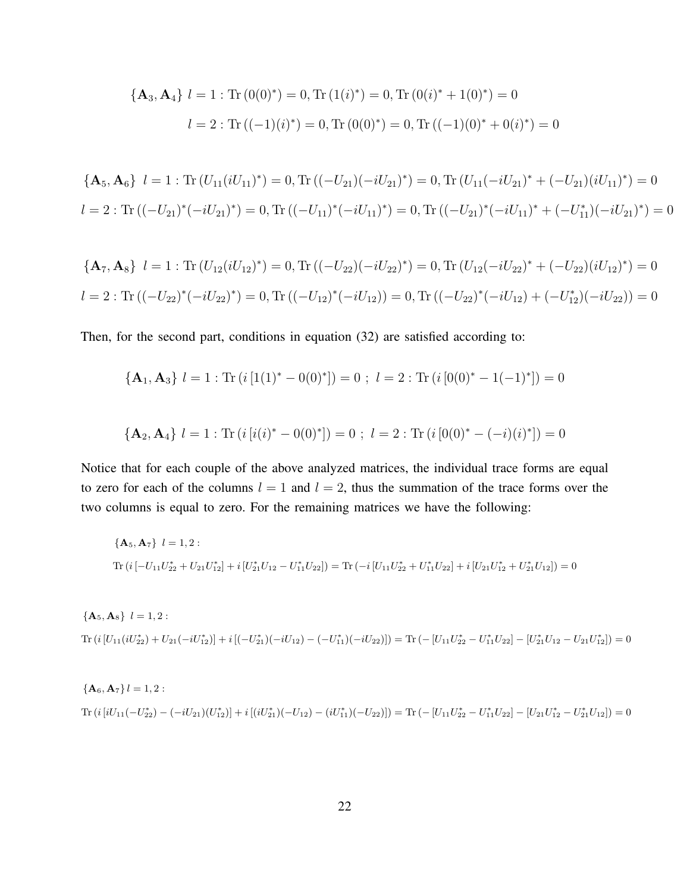$$
\{A_3, A_4\} \ l = 1 : \text{Tr}(0(0)^*) = 0, \text{Tr}(1(i)^*) = 0, \text{Tr}(0(i)^* + 1(0)^*) = 0
$$
\n
$$
l = 2 : \text{Tr}((-1)(i)^*) = 0, \text{Tr}(0(0)^*) = 0, \text{Tr}((-1)(0)^* + 0(i)^*) = 0
$$

$$
\begin{aligned} \{ \mathbf{A}_5, \mathbf{A}_6 \} \ \ l &= 1: \text{Tr} \left( U_{11}(iU_{11})^* \right) = 0, \text{Tr} \left( (-U_{21})(-iU_{21})^* \right) = 0, \text{Tr} \left( U_{11}(-iU_{21})^* + (-U_{21})(iU_{11})^* \right) = 0 \\ l &= 2: \text{Tr} \left( (-U_{21})^* (-iU_{21})^* \right) = 0, \text{Tr} \left( (-U_{11})^* (-iU_{11})^* \right) = 0, \text{Tr} \left( (-U_{21})^* (-iU_{11})^* + (-U_{11}^*) (-iU_{21})^* \right) = 0 \end{aligned}
$$

$$
\{\mathbf{A}_7, \mathbf{A}_8\} \quad l = 1: \text{Tr} \left( U_{12} (i U_{12})^* \right) = 0, \text{Tr} \left( (-U_{22}) (-i U_{22})^* \right) = 0, \text{Tr} \left( U_{12} (-i U_{22})^* + (-U_{22}) (i U_{12})^* \right) = 0
$$
\n
$$
l = 2: \text{Tr} \left( (-U_{22})^* (-i U_{22})^* \right) = 0, \text{Tr} \left( (-U_{12})^* (-i U_{12}) \right) = 0, \text{Tr} \left( (-U_{22})^* (-i U_{12}) + (-U_{12}^*) (-i U_{22}) \right) = 0
$$

Then, for the second part, conditions in equation (32) are satisfied according to:

$$
\{A_1, A_3\} \ l = 1 : \mathrm{Tr} \ (i \ [1(1)^* - 0(0)^*]) = 0 \ ; \ l = 2 : \mathrm{Tr} \ (i \ [0(0)^* - 1(-1)^*]) = 0
$$

$$
\{A_2, A_4\} \ l = 1 : \mathrm{Tr} \ (i \ [i(i)^* - 0(0)^*]) = 0 \ ; \ l = 2 : \mathrm{Tr} \ (i \ [0(0)^* - (-i)(i)^*]) = 0
$$

Notice that for each couple of the above analyzed matrices, the individual trace forms are equal to zero for each of the columns  $l = 1$  and  $l = 2$ , thus the summation of the trace forms over the two columns is equal to zero. For the remaining matrices we have the following:

$$
\{A_5, A_7\} \quad l = 1, 2:
$$
\n
$$
\text{Tr}\left(i\left[-U_{11}U_{22}^* + U_{21}U_{12}^*\right] + i\left[U_{21}^*U_{12} - U_{11}^*U_{22}\right]\right) = \text{Tr}\left(-i\left[U_{11}U_{22}^* + U_{11}^*U_{22}\right] + i\left[U_{21}U_{12}^* + U_{21}^*U_{12}\right]\right) = 0
$$

$$
\{A_5, A_8\} \ l = 1, 2:
$$
\n
$$
\text{Tr}\left(i\left[U_{11}(iU_{22}^*) + U_{21}(-iU_{12}^*)\right] + i\left[(-U_{21}^*)(-iU_{12}) - (-U_{11}^*)(-iU_{22})\right]\right) = \text{Tr}\left(-\left[U_{11}U_{22}^* - U_{11}^*U_{22}\right] - \left[U_{21}^*U_{12} - U_{21}U_{12}^*\right]\right) = 0
$$

$$
\{A_6, A_7\} \, l = 1, 2:
$$
\n
$$
\text{Tr}\left(i\left[iU_{11}(-U_{22}^*) - (-iU_{21})(U_{12}^*)\right] + i\left[(iU_{21}^*)(-U_{12}) - (iU_{11}^*)(-U_{22})\right]\right) = \text{Tr}\left(-\left[U_{11}U_{22}^* - U_{11}^*U_{22}\right] - \left[U_{21}U_{12}^* - U_{21}^*U_{12}\right]\right) = 0
$$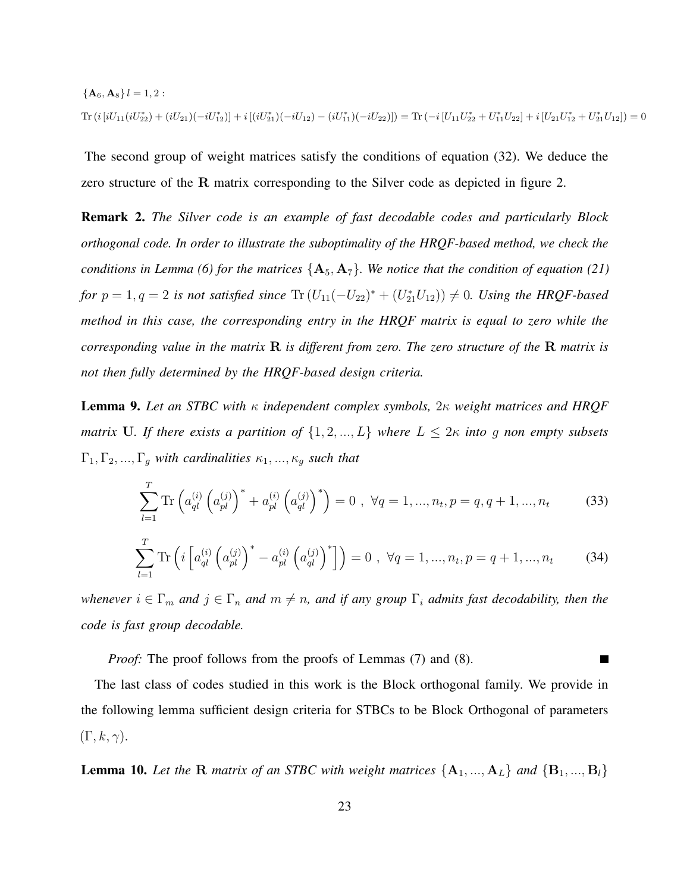$$
\{\mathbf A_6, \mathbf A_8\} \, l = 1, 2:
$$
\n
$$
\text{Tr}\left(i\left[iU_{11}(iU_{22}^*) + (iU_{21})(-iU_{12}^*)\right] + i\left[(iU_{21}^*)(-iU_{12}) - (iU_{11}^*)(-iU_{22})\right]\right) = \text{Tr}\left(-i\left[U_{11}U_{22}^* + U_{11}^*U_{22}\right] + i\left[U_{21}U_{12}^* + U_{21}^*U_{12}\right]\right) = 0
$$

The second group of weight matrices satisfy the conditions of equation (32). We deduce the zero structure of the R matrix corresponding to the Silver code as depicted in figure 2.

Remark 2. *The Silver code is an example of fast decodable codes and particularly Block orthogonal code. In order to illustrate the suboptimality of the HRQF-based method, we check the conditions in Lemma (6) for the matrices*  $\{A_5, A_7\}$ *. We notice that the condition of equation (21) for*  $p = 1, q = 2$  *is not satisfied since*  $\text{Tr} (U_{11}(-U_{22})^* + (U_{21}^*U_{12})) \neq 0$ *. Using the HRQF-based method in this case, the corresponding entry in the HRQF matrix is equal to zero while the corresponding value in the matrix* R *is different from zero. The zero structure of the* R *matrix is not then fully determined by the HRQF-based design criteria.*

Lemma 9. *Let an STBC with* κ *independent complex symbols,* 2κ *weight matrices and HRQF matrix* U. If there exists a partition of  $\{1, 2, ..., L\}$  where  $L \leq 2\kappa$  *into* g non empty subsets  $\Gamma_1, \Gamma_2, ..., \Gamma_g$  *with cardinalities*  $\kappa_1, ..., \kappa_g$  *such that* 

$$
\sum_{l=1}^{T} \text{Tr} \left( a_{ql}^{(i)} \left( a_{pl}^{(j)} \right)^* + a_{pl}^{(i)} \left( a_{ql}^{(j)} \right)^* \right) = 0 \ , \ \forall q = 1, ..., n_t, p = q, q+1, ..., n_t \tag{33}
$$

$$
\sum_{l=1}^{T} \text{Tr} \left( i \left[ a_{ql}^{(i)} \left( a_{pl}^{(j)} \right)^* - a_{pl}^{(i)} \left( a_{ql}^{(j)} \right)^* \right] \right) = 0 \ , \ \forall q = 1, ..., n_t, p = q + 1, ..., n_t \tag{34}
$$

*whenever*  $i \in \Gamma_m$  *and*  $j \in \Gamma_n$  *and*  $m \neq n$ *, and if any group*  $\Gamma_i$  *admits fast decodability, then the code is fast group decodable.*

*Proof:* The proof follows from the proofs of Lemmas (7) and (8). **The Second Service** 

The last class of codes studied in this work is the Block orthogonal family. We provide in the following lemma sufficient design criteria for STBCs to be Block Orthogonal of parameters  $(\Gamma, k, \gamma).$ 

**Lemma 10.** Let the R matrix of an STBC with weight matrices  $\{A_1, ..., A_L\}$  and  $\{B_1, ..., B_l\}$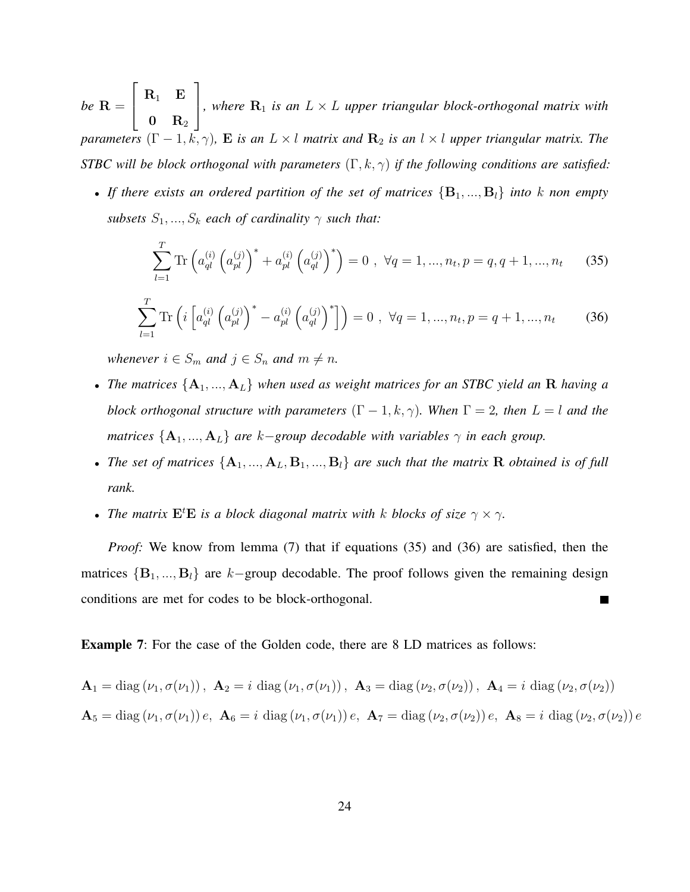*be* R =  $\sqrt{ }$  $\overline{1}$  $\mathbf{R}_{1}$   $\mathbf{E}% _{1}$  $\mathbf{0} \quad \mathbf{R}_2$ 1 *, where*  $\mathbf{R}_1$  *is an*  $L \times L$  *upper triangular block-orthogonal matrix with parameters*  $(\Gamma - 1, k, \gamma)$ *,* **E** *is an*  $L \times l$  *matrix and*  $\mathbb{R}_2$  *is an*  $l \times l$  *upper triangular matrix. The STBC will be block orthogonal with parameters* (Γ, k, γ) *if the following conditions are satisfied:*

• If there exists an ordered partition of the set of matrices  ${B_1, ..., B_l}$  into k non empty *subsets*  $S_1, ..., S_k$  *each of cardinality*  $\gamma$  *such that:* 

$$
\sum_{l=1}^{T} \text{Tr} \left( a_{ql}^{(i)} \left( a_{pl}^{(j)} \right)^* + a_{pl}^{(i)} \left( a_{ql}^{(j)} \right)^* \right) = 0 \ , \ \forall q = 1, ..., n_t, p = q, q + 1, ..., n_t \tag{35}
$$

$$
\sum_{l=1}^{T} \text{Tr} \left( i \left[ a_{ql}^{(i)} \left( a_{pl}^{(j)} \right)^* - a_{pl}^{(i)} \left( a_{ql}^{(j)} \right)^* \right] \right) = 0 \ , \ \forall q = 1, ..., n_t, p = q + 1, ..., n_t \tag{36}
$$

*whenever*  $i \in S_m$  *and*  $j \in S_n$  *and*  $m \neq n$ *.* 

- *The matrices* {A1, ..., AL} *when used as weight matrices for an STBC yield an* R *having a block orthogonal structure with parameters*  $(\Gamma - 1, k, \gamma)$ *. When*  $\Gamma = 2$ *, then*  $L = l$  *and the matrices*  $\{A_1, ..., A_L\}$  *are*  $k$ *-group decodable with variables*  $\gamma$  *in each group.*
- The set of matrices  ${A_1, ..., A_L, B_1, ..., B_l}$  are such that the matrix R *obtained is of full rank.*
- *The matrix*  $\mathbf{E}^t \mathbf{E}$  *is a block diagonal matrix with k blocks of size*  $\gamma \times \gamma$ *.*

*Proof:* We know from lemma (7) that if equations (35) and (36) are satisfied, then the matrices  ${B_1, ..., B_l}$  are k–group decodable. The proof follows given the remaining design conditions are met for codes to be block-orthogonal.

Example 7: For the case of the Golden code, there are 8 LD matrices as follows:

$$
\mathbf{A}_1 = \text{diag}(\nu_1, \sigma(\nu_1)), \ \mathbf{A}_2 = i \text{ diag}(\nu_1, \sigma(\nu_1)), \ \mathbf{A}_3 = \text{diag}(\nu_2, \sigma(\nu_2)), \ \mathbf{A}_4 = i \text{ diag}(\nu_2, \sigma(\nu_2))
$$
\n
$$
\mathbf{A}_5 = \text{diag}(\nu_1, \sigma(\nu_1))\,e, \ \mathbf{A}_6 = i \text{ diag}(\nu_1, \sigma(\nu_1))\,e, \ \mathbf{A}_7 = \text{diag}(\nu_2, \sigma(\nu_2))\,e, \ \mathbf{A}_8 = i \text{ diag}(\nu_2, \sigma(\nu_2))\,e
$$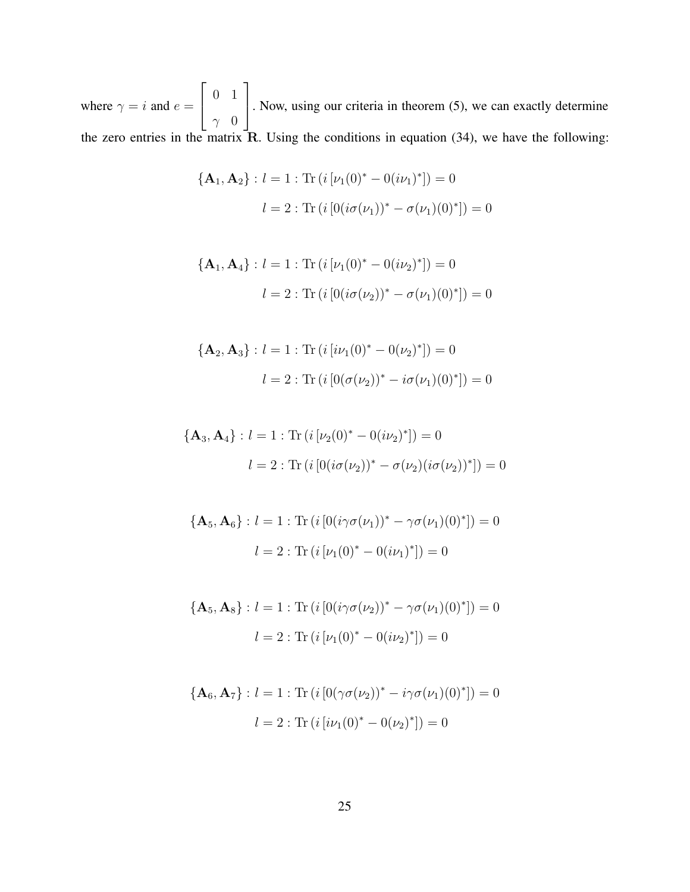where  $\gamma = i$  and  $e =$  $\sqrt{ }$  $\overline{1}$ 0 1  $\gamma$  0 1 . Now, using our criteria in theorem (5), we can exactly determine the zero entries in the matrix  $\overline{R}$ . Using the conditions in equation (34), we have the following:

$$
\{\mathbf{A}_1, \mathbf{A}_2\} : l = 1 : \text{Tr}\left(i\left[\nu_1(0)^* - 0(i\nu_1)^*\right]\right) = 0
$$

$$
l = 2 : \text{Tr}\left(i\left[0(i\sigma(\nu_1))^* - \sigma(\nu_1)(0)^*\right]\right) = 0
$$

$$
\{\mathbf{A}_1, \mathbf{A}_4\} : l = 1 : \text{Tr}\left(i\left[\nu_1(0)^* - 0(i\nu_2)^*\right]\right) = 0
$$

$$
l = 2 : \text{Tr}\left(i\left[0(i\sigma(\nu_2))^* - \sigma(\nu_1)(0)^*\right]\right) = 0
$$

$$
\{\mathbf{A}_2, \mathbf{A}_3\} : l = 1 : \text{Tr}\left(i\left[i\nu_1(0)^* - 0(\nu_2)^*\right]\right) = 0
$$

$$
l = 2 : \text{Tr}\left(i\left[0(\sigma(\nu_2))^* - i\sigma(\nu_1)(0)^*\right]\right) = 0
$$

$$
\{\mathbf{A}_3, \mathbf{A}_4\} : l = 1 : \text{Tr}\left(i\left[\nu_2(0)^* - 0(i\nu_2)^*\right]\right) = 0
$$

$$
l = 2 : \text{Tr}\left(i\left[0(i\sigma(\nu_2))^* - \sigma(\nu_2)(i\sigma(\nu_2))^*\right]\right) = 0
$$

$$
\{\mathbf{A}_5, \mathbf{A}_6\} : l = 1 : \text{Tr}\left(i\left[0(i\gamma\sigma(\nu_1))^* - \gamma\sigma(\nu_1)(0)^*\right]\right) = 0
$$

$$
l = 2 : \text{Tr}\left(i\left[\nu_1(0)^* - 0(i\nu_1)^*\right]\right) = 0
$$

$$
\{\mathbf{A}_5, \mathbf{A}_8\} : l = 1 : \text{Tr}\left(i\left[0(i\gamma\sigma(\nu_2))^* - \gamma\sigma(\nu_1)(0)^*\right]\right) = 0
$$

$$
l = 2 : \text{Tr}\left(i\left[\nu_1(0)^* - 0(i\nu_2)^*\right]\right) = 0
$$

$$
\{\mathbf{A}_6, \mathbf{A}_7\} : l = 1 : \text{Tr}\left(i\left[0(\gamma\sigma(\nu_2))^* - i\gamma\sigma(\nu_1)(0)^*\right]\right) = 0
$$

$$
l = 2 : \text{Tr}\left(i\left[i\nu_1(0)^* - 0(\nu_2)^*\right]\right) = 0
$$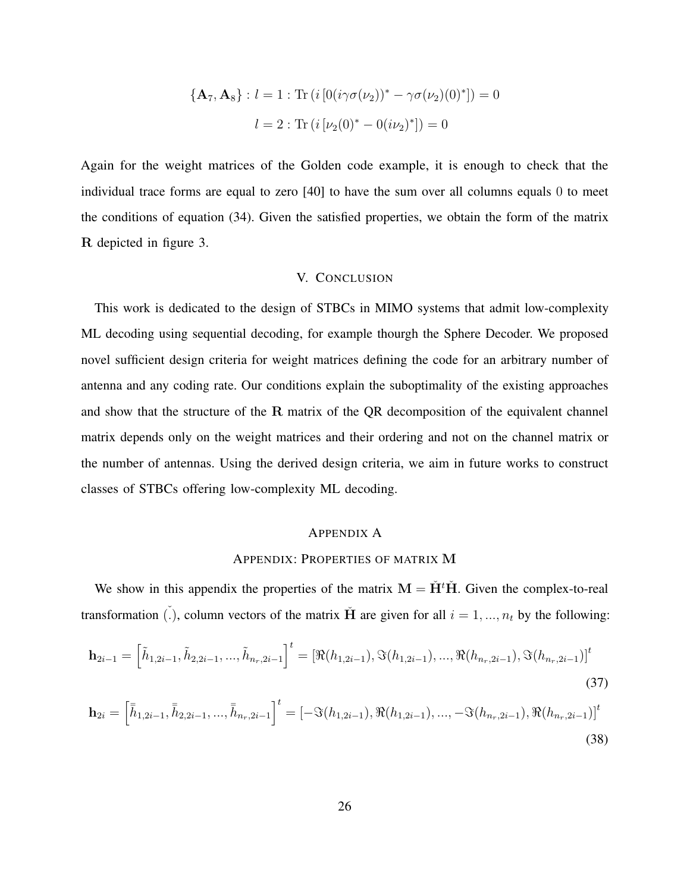$$
\{\mathbf{A}_7, \mathbf{A}_8\} : l = 1 : \text{Tr}\left(i\left[0(i\gamma\sigma(\nu_2))^* - \gamma\sigma(\nu_2)(0)^*\right]\right) = 0
$$

$$
l = 2 : \text{Tr}\left(i\left[\nu_2(0)^* - 0(i\nu_2)^*\right]\right) = 0
$$

Again for the weight matrices of the Golden code example, it is enough to check that the individual trace forms are equal to zero [40] to have the sum over all columns equals 0 to meet the conditions of equation (34). Given the satisfied properties, we obtain the form of the matrix R depicted in figure 3.

## V. CONCLUSION

This work is dedicated to the design of STBCs in MIMO systems that admit low-complexity ML decoding using sequential decoding, for example thourgh the Sphere Decoder. We proposed novel sufficient design criteria for weight matrices defining the code for an arbitrary number of antenna and any coding rate. Our conditions explain the suboptimality of the existing approaches and show that the structure of the R matrix of the QR decomposition of the equivalent channel matrix depends only on the weight matrices and their ordering and not on the channel matrix or the number of antennas. Using the derived design criteria, we aim in future works to construct classes of STBCs offering low-complexity ML decoding.

## APPENDIX A

# APPENDIX: PROPERTIES OF MATRIX M

We show in this appendix the properties of the matrix  $M = \dot{H}^t \dot{H}$ . Given the complex-to-real transformation (.), column vectors of the matrix  $\tilde{H}$  are given for all  $i = 1, ..., n_t$  by the following:

$$
\mathbf{h}_{2i-1} = \left[\tilde{h}_{1,2i-1}, \tilde{h}_{2,2i-1}, \dots, \tilde{h}_{n_r,2i-1}\right]^t = \left[\Re(h_{1,2i-1}), \Im(h_{1,2i-1}), \dots, \Re(h_{n_r,2i-1}), \Im(h_{n_r,2i-1})\right]^t
$$
\n(37)

$$
\mathbf{h}_{2i} = \left[\bar{\bar{h}}_{1,2i-1}, \bar{\bar{h}}_{2,2i-1}, ..., \bar{\bar{h}}_{n_r,2i-1}\right]^t = \left[-\Im(h_{1,2i-1}), \Re(h_{1,2i-1}), ..., -\Im(h_{n_r,2i-1}), \Re(h_{n_r,2i-1})\right]^t
$$
\n(38)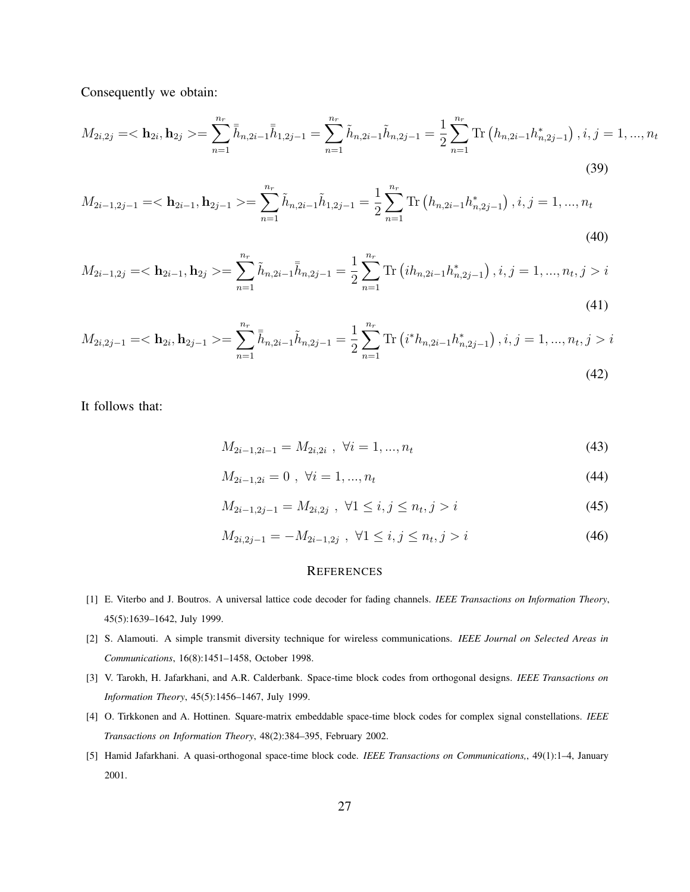Consequently we obtain:

$$
M_{2i,2j} = \langle \mathbf{h}_{2i}, \mathbf{h}_{2j} \rangle = \sum_{n=1}^{n_r} \bar{\bar{h}}_{n,2i-1} \bar{\bar{h}}_{1,2j-1} = \sum_{n=1}^{n_r} \tilde{h}_{n,2i-1} \tilde{h}_{n,2j-1} = \frac{1}{2} \sum_{n=1}^{n_r} \text{Tr} \left( h_{n,2i-1} h_{n,2j-1}^* \right), i, j = 1, ..., n_t
$$
\n(39)

$$
M_{2i-1,2j-1} = \langle \mathbf{h}_{2i-1}, \mathbf{h}_{2j-1} \rangle = \sum_{n=1}^{n_r} \tilde{h}_{n,2i-1} \tilde{h}_{1,2j-1} = \frac{1}{2} \sum_{n=1}^{n_r} \text{Tr} \left( h_{n,2i-1} h_{n,2j-1}^* \right), i, j = 1, ..., n_t
$$
\n(40)

$$
M_{2i-1,2j} = \langle \mathbf{h}_{2i-1}, \mathbf{h}_{2j} \rangle = \sum_{n=1}^{n_r} \tilde{h}_{n,2i-1} \overline{\overline{h}}_{n,2j-1} = \frac{1}{2} \sum_{n=1}^{n_r} \text{Tr} \left( i h_{n,2i-1} h_{n,2j-1}^* \right), i, j = 1, ..., n_t, j > i
$$
\n(41)

$$
M_{2i,2j-1} = \langle \mathbf{h}_{2i}, \mathbf{h}_{2j-1} \rangle = \sum_{n=1}^{n_r} \bar{h}_{n,2i-1} \tilde{h}_{n,2j-1} = \frac{1}{2} \sum_{n=1}^{n_r} \text{Tr} \left( i^* h_{n,2i-1} h_{n,2j-1}^* \right), i, j = 1, ..., n_t, j > i
$$
\n(42)

It follows that:

$$
M_{2i-1,2i-1} = M_{2i,2i} \, , \, \forall i = 1,...,n_t \tag{43}
$$

$$
M_{2i-1,2i} = 0 \, , \, \forall i = 1, ..., n_t \tag{44}
$$

$$
M_{2i-1,2j-1} = M_{2i,2j} , \ \forall 1 \le i, j \le n_t, j > i
$$
\n(45)

$$
M_{2i,2j-1} = -M_{2i-1,2j} \, , \, \forall 1 \le i, j \le n_t, j > i \tag{46}
$$

#### **REFERENCES**

- [1] E. Viterbo and J. Boutros. A universal lattice code decoder for fading channels. *IEEE Transactions on Information Theory*, 45(5):1639–1642, July 1999.
- [2] S. Alamouti. A simple transmit diversity technique for wireless communications. *IEEE Journal on Selected Areas in Communications*, 16(8):1451–1458, October 1998.
- [3] V. Tarokh, H. Jafarkhani, and A.R. Calderbank. Space-time block codes from orthogonal designs. *IEEE Transactions on Information Theory*, 45(5):1456–1467, July 1999.
- [4] O. Tirkkonen and A. Hottinen. Square-matrix embeddable space-time block codes for complex signal constellations. *IEEE Transactions on Information Theory*, 48(2):384–395, February 2002.
- [5] Hamid Jafarkhani. A quasi-orthogonal space-time block code. *IEEE Transactions on Communications,*, 49(1):1–4, January 2001.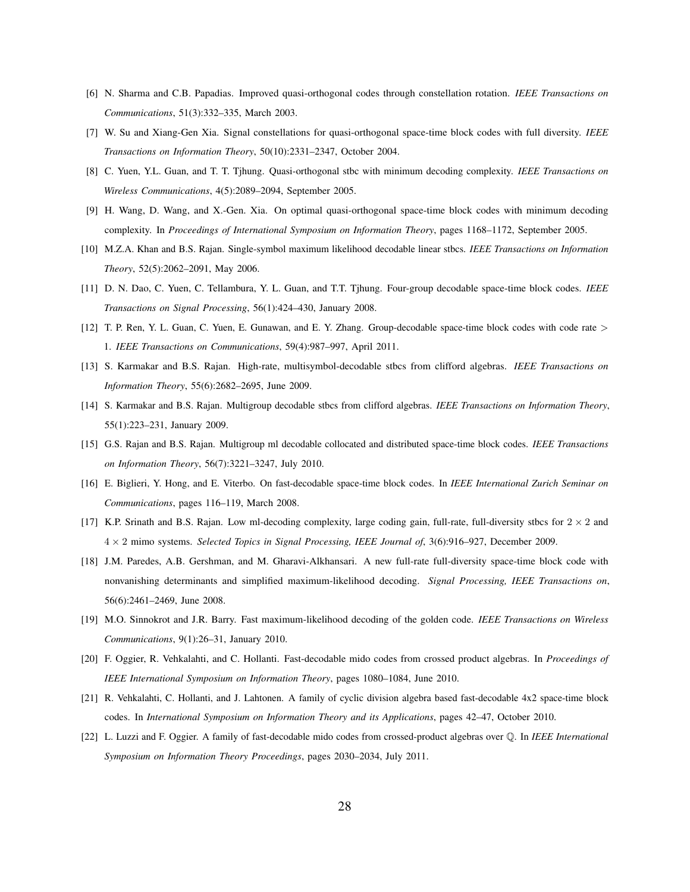- [6] N. Sharma and C.B. Papadias. Improved quasi-orthogonal codes through constellation rotation. *IEEE Transactions on Communications*, 51(3):332–335, March 2003.
- [7] W. Su and Xiang-Gen Xia. Signal constellations for quasi-orthogonal space-time block codes with full diversity. *IEEE Transactions on Information Theory*, 50(10):2331–2347, October 2004.
- [8] C. Yuen, Y.L. Guan, and T. T. Tjhung. Quasi-orthogonal stbc with minimum decoding complexity. *IEEE Transactions on Wireless Communications*, 4(5):2089–2094, September 2005.
- [9] H. Wang, D. Wang, and X.-Gen. Xia. On optimal quasi-orthogonal space-time block codes with minimum decoding complexity. In *Proceedings of International Symposium on Information Theory*, pages 1168–1172, September 2005.
- [10] M.Z.A. Khan and B.S. Rajan. Single-symbol maximum likelihood decodable linear stbcs. *IEEE Transactions on Information Theory*, 52(5):2062–2091, May 2006.
- [11] D. N. Dao, C. Yuen, C. Tellambura, Y. L. Guan, and T.T. Tjhung. Four-group decodable space-time block codes. *IEEE Transactions on Signal Processing*, 56(1):424–430, January 2008.
- [12] T. P. Ren, Y. L. Guan, C. Yuen, E. Gunawan, and E. Y. Zhang. Group-decodable space-time block codes with code rate > 1. *IEEE Transactions on Communications*, 59(4):987–997, April 2011.
- [13] S. Karmakar and B.S. Rajan. High-rate, multisymbol-decodable stbcs from clifford algebras. *IEEE Transactions on Information Theory*, 55(6):2682–2695, June 2009.
- [14] S. Karmakar and B.S. Rajan. Multigroup decodable stbcs from clifford algebras. *IEEE Transactions on Information Theory*, 55(1):223–231, January 2009.
- [15] G.S. Rajan and B.S. Rajan. Multigroup ml decodable collocated and distributed space-time block codes. *IEEE Transactions on Information Theory*, 56(7):3221–3247, July 2010.
- [16] E. Biglieri, Y. Hong, and E. Viterbo. On fast-decodable space-time block codes. In *IEEE International Zurich Seminar on Communications*, pages 116–119, March 2008.
- [17] K.P. Srinath and B.S. Rajan. Low ml-decoding complexity, large coding gain, full-rate, full-diversity stbcs for  $2 \times 2$  and 4 × 2 mimo systems. *Selected Topics in Signal Processing, IEEE Journal of*, 3(6):916–927, December 2009.
- [18] J.M. Paredes, A.B. Gershman, and M. Gharavi-Alkhansari. A new full-rate full-diversity space-time block code with nonvanishing determinants and simplified maximum-likelihood decoding. *Signal Processing, IEEE Transactions on*, 56(6):2461–2469, June 2008.
- [19] M.O. Sinnokrot and J.R. Barry. Fast maximum-likelihood decoding of the golden code. *IEEE Transactions on Wireless Communications*, 9(1):26–31, January 2010.
- [20] F. Oggier, R. Vehkalahti, and C. Hollanti. Fast-decodable mido codes from crossed product algebras. In *Proceedings of IEEE International Symposium on Information Theory*, pages 1080–1084, June 2010.
- [21] R. Vehkalahti, C. Hollanti, and J. Lahtonen. A family of cyclic division algebra based fast-decodable 4x2 space-time block codes. In *International Symposium on Information Theory and its Applications*, pages 42–47, October 2010.
- [22] L. Luzzi and F. Oggier. A family of fast-decodable mido codes from crossed-product algebras over Q. In *IEEE International Symposium on Information Theory Proceedings*, pages 2030–2034, July 2011.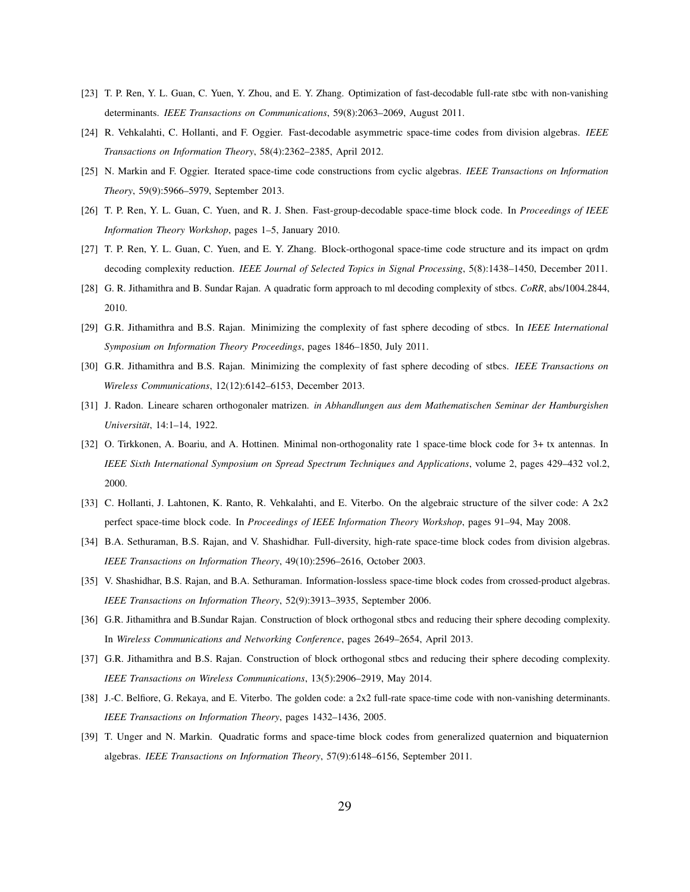- [23] T. P. Ren, Y. L. Guan, C. Yuen, Y. Zhou, and E. Y. Zhang. Optimization of fast-decodable full-rate stbc with non-vanishing determinants. *IEEE Transactions on Communications*, 59(8):2063–2069, August 2011.
- [24] R. Vehkalahti, C. Hollanti, and F. Oggier. Fast-decodable asymmetric space-time codes from division algebras. *IEEE Transactions on Information Theory*, 58(4):2362–2385, April 2012.
- [25] N. Markin and F. Oggier. Iterated space-time code constructions from cyclic algebras. *IEEE Transactions on Information Theory*, 59(9):5966–5979, September 2013.
- [26] T. P. Ren, Y. L. Guan, C. Yuen, and R. J. Shen. Fast-group-decodable space-time block code. In *Proceedings of IEEE Information Theory Workshop*, pages 1–5, January 2010.
- [27] T. P. Ren, Y. L. Guan, C. Yuen, and E. Y. Zhang. Block-orthogonal space-time code structure and its impact on qrdm decoding complexity reduction. *IEEE Journal of Selected Topics in Signal Processing*, 5(8):1438–1450, December 2011.
- [28] G. R. Jithamithra and B. Sundar Rajan. A quadratic form approach to ml decoding complexity of stbcs. *CoRR*, abs/1004.2844, 2010.
- [29] G.R. Jithamithra and B.S. Rajan. Minimizing the complexity of fast sphere decoding of stbcs. In *IEEE International Symposium on Information Theory Proceedings*, pages 1846–1850, July 2011.
- [30] G.R. Jithamithra and B.S. Rajan. Minimizing the complexity of fast sphere decoding of stbcs. *IEEE Transactions on Wireless Communications*, 12(12):6142–6153, December 2013.
- [31] J. Radon. Lineare scharen orthogonaler matrizen. *in Abhandlungen aus dem Mathematischen Seminar der Hamburgishen Universitat¨* , 14:1–14, 1922.
- [32] O. Tirkkonen, A. Boariu, and A. Hottinen. Minimal non-orthogonality rate 1 space-time block code for 3+ tx antennas. In *IEEE Sixth International Symposium on Spread Spectrum Techniques and Applications*, volume 2, pages 429–432 vol.2, 2000.
- [33] C. Hollanti, J. Lahtonen, K. Ranto, R. Vehkalahti, and E. Viterbo. On the algebraic structure of the silver code: A 2x2 perfect space-time block code. In *Proceedings of IEEE Information Theory Workshop*, pages 91–94, May 2008.
- [34] B.A. Sethuraman, B.S. Rajan, and V. Shashidhar. Full-diversity, high-rate space-time block codes from division algebras. *IEEE Transactions on Information Theory*, 49(10):2596–2616, October 2003.
- [35] V. Shashidhar, B.S. Rajan, and B.A. Sethuraman. Information-lossless space-time block codes from crossed-product algebras. *IEEE Transactions on Information Theory*, 52(9):3913–3935, September 2006.
- [36] G.R. Jithamithra and B.Sundar Rajan. Construction of block orthogonal stbcs and reducing their sphere decoding complexity. In *Wireless Communications and Networking Conference*, pages 2649–2654, April 2013.
- [37] G.R. Jithamithra and B.S. Rajan. Construction of block orthogonal stbcs and reducing their sphere decoding complexity. *IEEE Transactions on Wireless Communications*, 13(5):2906–2919, May 2014.
- [38] J.-C. Belfiore, G. Rekaya, and E. Viterbo. The golden code: a 2x2 full-rate space-time code with non-vanishing determinants. *IEEE Transactions on Information Theory*, pages 1432–1436, 2005.
- [39] T. Unger and N. Markin. Quadratic forms and space-time block codes from generalized quaternion and biquaternion algebras. *IEEE Transactions on Information Theory*, 57(9):6148–6156, September 2011.